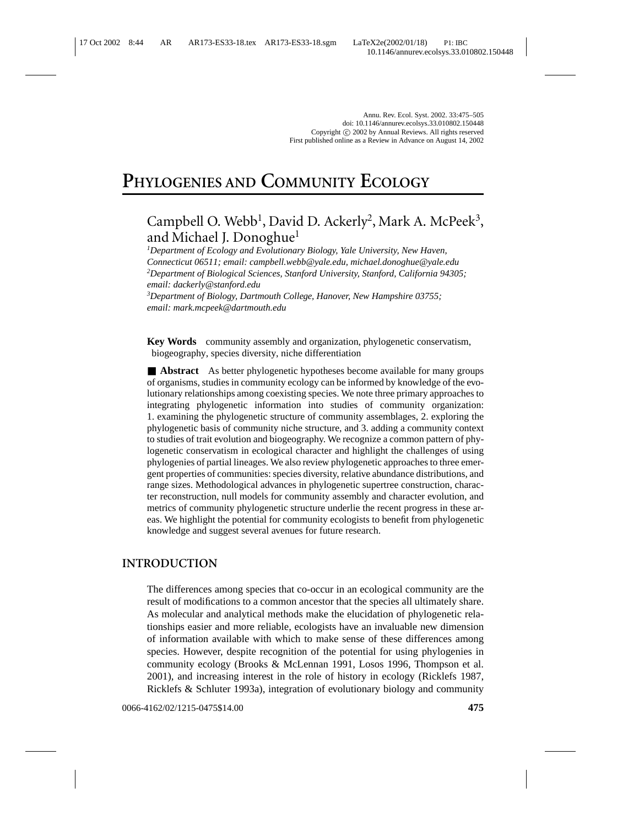# **PHYLOGENIES AND COMMUNITY ECOLOGY**

## Campbell O. Webb<sup>1</sup>, David D. Ackerly<sup>2</sup>, Mark A. McPeek<sup>3</sup>, and Michael J. Donoghue<sup>1</sup>

*1 Department of Ecology and Evolutionary Biology, Yale University, New Haven, Connecticut 06511; email: campbell.webb@yale.edu, michael.donoghue@yale.edu 2 Department of Biological Sciences, Stanford University, Stanford, California 94305; email: dackerly@stanford.edu*

*3 Department of Biology, Dartmouth College, Hanover, New Hampshire 03755; email: mark.mcpeek@dartmouth.edu*

**Key Words** community assembly and organization, phylogenetic conservatism, biogeography, species diversity, niche differentiation

■ **Abstract** As better phylogenetic hypotheses become available for many groups of organisms, studies in community ecology can be informed by knowledge of the evolutionary relationships among coexisting species. We note three primary approaches to integrating phylogenetic information into studies of community organization: 1. examining the phylogenetic structure of community assemblages, 2. exploring the phylogenetic basis of community niche structure, and 3. adding a community context to studies of trait evolution and biogeography. We recognize a common pattern of phylogenetic conservatism in ecological character and highlight the challenges of using phylogenies of partial lineages. We also review phylogenetic approaches to three emergent properties of communities: species diversity, relative abundance distributions, and range sizes. Methodological advances in phylogenetic supertree construction, character reconstruction, null models for community assembly and character evolution, and metrics of community phylogenetic structure underlie the recent progress in these areas. We highlight the potential for community ecologists to benefit from phylogenetic knowledge and suggest several avenues for future research.

## **INTRODUCTION**

The differences among species that co-occur in an ecological community are the result of modifications to a common ancestor that the species all ultimately share. As molecular and analytical methods make the elucidation of phylogenetic relationships easier and more reliable, ecologists have an invaluable new dimension of information available with which to make sense of these differences among species. However, despite recognition of the potential for using phylogenies in community ecology (Brooks & McLennan 1991, Losos 1996, Thompson et al. 2001), and increasing interest in the role of history in ecology (Ricklefs 1987, Ricklefs & Schluter 1993a), integration of evolutionary biology and community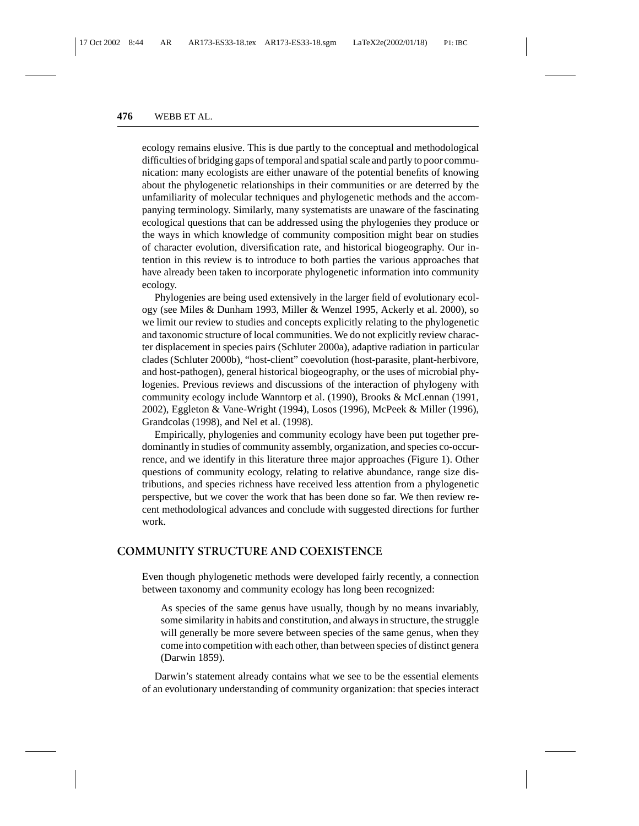ecology remains elusive. This is due partly to the conceptual and methodological difficulties of bridging gaps of temporal and spatial scale and partly to poor communication: many ecologists are either unaware of the potential benefits of knowing about the phylogenetic relationships in their communities or are deterred by the unfamiliarity of molecular techniques and phylogenetic methods and the accompanying terminology. Similarly, many systematists are unaware of the fascinating ecological questions that can be addressed using the phylogenies they produce or the ways in which knowledge of community composition might bear on studies of character evolution, diversification rate, and historical biogeography. Our intention in this review is to introduce to both parties the various approaches that have already been taken to incorporate phylogenetic information into community ecology.

Phylogenies are being used extensively in the larger field of evolutionary ecology (see Miles & Dunham 1993, Miller & Wenzel 1995, Ackerly et al. 2000), so we limit our review to studies and concepts explicitly relating to the phylogenetic and taxonomic structure of local communities. We do not explicitly review character displacement in species pairs (Schluter 2000a), adaptive radiation in particular clades (Schluter 2000b), "host-client" coevolution (host-parasite, plant-herbivore, and host-pathogen), general historical biogeography, or the uses of microbial phylogenies. Previous reviews and discussions of the interaction of phylogeny with community ecology include Wanntorp et al. (1990), Brooks & McLennan (1991, 2002), Eggleton & Vane-Wright (1994), Losos (1996), McPeek & Miller (1996), Grandcolas (1998), and Nel et al. (1998).

Empirically, phylogenies and community ecology have been put together predominantly in studies of community assembly, organization, and species co-occurrence, and we identify in this literature three major approaches (Figure 1). Other questions of community ecology, relating to relative abundance, range size distributions, and species richness have received less attention from a phylogenetic perspective, but we cover the work that has been done so far. We then review recent methodological advances and conclude with suggested directions for further work.

#### **COMMUNITY STRUCTURE AND COEXISTENCE**

Even though phylogenetic methods were developed fairly recently, a connection between taxonomy and community ecology has long been recognized:

As species of the same genus have usually, though by no means invariably, some similarity in habits and constitution, and always in structure, the struggle will generally be more severe between species of the same genus, when they come into competition with each other, than between species of distinct genera (Darwin 1859).

Darwin's statement already contains what we see to be the essential elements of an evolutionary understanding of community organization: that species interact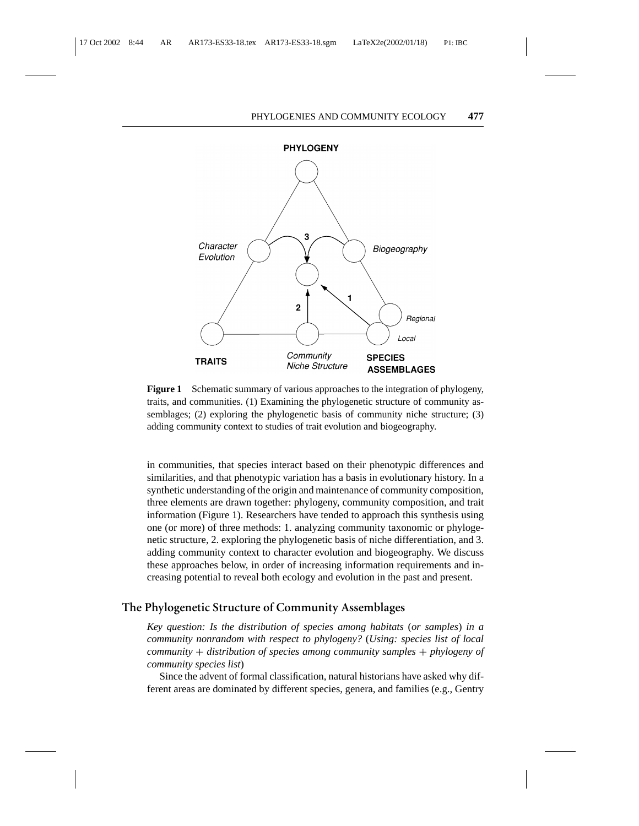

**Figure 1** Schematic summary of various approaches to the integration of phylogeny, traits, and communities. (1) Examining the phylogenetic structure of community assemblages; (2) exploring the phylogenetic basis of community niche structure; (3) adding community context to studies of trait evolution and biogeography.

in communities, that species interact based on their phenotypic differences and similarities, and that phenotypic variation has a basis in evolutionary history. In a synthetic understanding of the origin and maintenance of community composition, three elements are drawn together: phylogeny, community composition, and trait information (Figure 1). Researchers have tended to approach this synthesis using one (or more) of three methods: 1. analyzing community taxonomic or phylogenetic structure, 2. exploring the phylogenetic basis of niche differentiation, and 3. adding community context to character evolution and biogeography. We discuss these approaches below, in order of increasing information requirements and increasing potential to reveal both ecology and evolution in the past and present.

## **The Phylogenetic Structure of Community Assemblages**

*Key question: Is the distribution of species among habitats* (*or samples*) *in a community nonrandom with respect to phylogeny?* (*Using: species list of local community* + *distribution of species among community samples* + *phylogeny of community species list*)

Since the advent of formal classification, natural historians have asked why different areas are dominated by different species, genera, and families (e.g., Gentry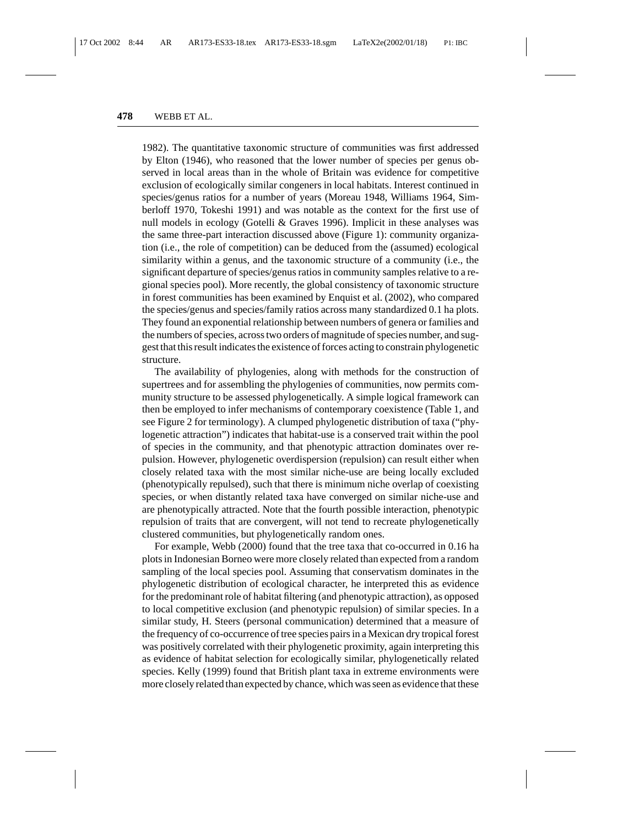1982). The quantitative taxonomic structure of communities was first addressed by Elton (1946), who reasoned that the lower number of species per genus observed in local areas than in the whole of Britain was evidence for competitive exclusion of ecologically similar congeners in local habitats. Interest continued in species/genus ratios for a number of years (Moreau 1948, Williams 1964, Simberloff 1970, Tokeshi 1991) and was notable as the context for the first use of null models in ecology (Gotelli & Graves 1996). Implicit in these analyses was the same three-part interaction discussed above (Figure 1): community organization (i.e., the role of competition) can be deduced from the (assumed) ecological similarity within a genus, and the taxonomic structure of a community (i.e., the significant departure of species/genus ratios in community samples relative to a regional species pool). More recently, the global consistency of taxonomic structure in forest communities has been examined by Enquist et al. (2002), who compared the species/genus and species/family ratios across many standardized 0.1 ha plots. They found an exponential relationship between numbers of genera or families and the numbers of species, across two orders of magnitude of species number, and suggest that this result indicates the existence of forces acting to constrain phylogenetic structure.

The availability of phylogenies, along with methods for the construction of supertrees and for assembling the phylogenies of communities, now permits community structure to be assessed phylogenetically. A simple logical framework can then be employed to infer mechanisms of contemporary coexistence (Table 1, and see Figure 2 for terminology). A clumped phylogenetic distribution of taxa ("phylogenetic attraction") indicates that habitat-use is a conserved trait within the pool of species in the community, and that phenotypic attraction dominates over repulsion. However, phylogenetic overdispersion (repulsion) can result either when closely related taxa with the most similar niche-use are being locally excluded (phenotypically repulsed), such that there is minimum niche overlap of coexisting species, or when distantly related taxa have converged on similar niche-use and are phenotypically attracted. Note that the fourth possible interaction, phenotypic repulsion of traits that are convergent, will not tend to recreate phylogenetically clustered communities, but phylogenetically random ones.

For example, Webb (2000) found that the tree taxa that co-occurred in 0.16 ha plots in Indonesian Borneo were more closely related than expected from a random sampling of the local species pool. Assuming that conservatism dominates in the phylogenetic distribution of ecological character, he interpreted this as evidence for the predominant role of habitat filtering (and phenotypic attraction), as opposed to local competitive exclusion (and phenotypic repulsion) of similar species. In a similar study, H. Steers (personal communication) determined that a measure of the frequency of co-occurrence of tree species pairs in a Mexican dry tropical forest was positively correlated with their phylogenetic proximity, again interpreting this as evidence of habitat selection for ecologically similar, phylogenetically related species. Kelly (1999) found that British plant taxa in extreme environments were more closely related than expected by chance, which was seen as evidence that these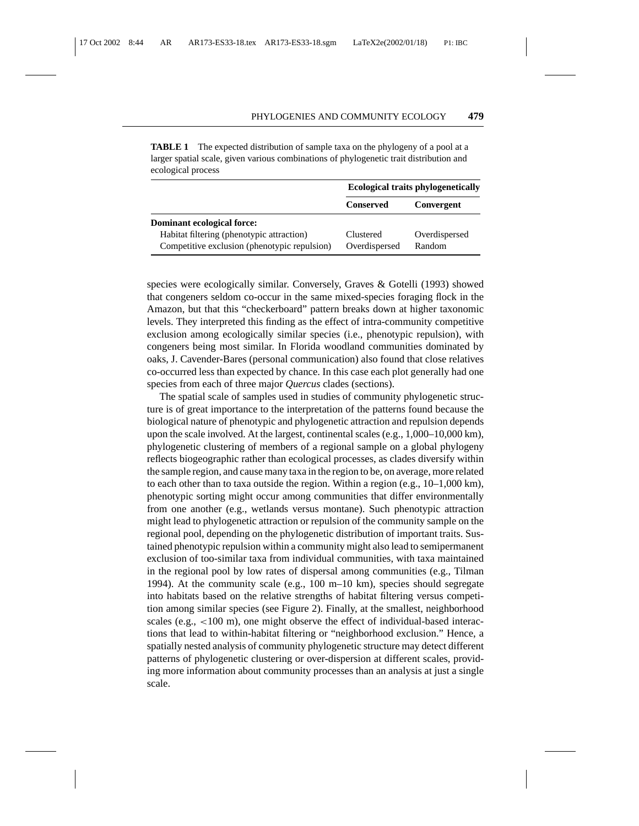|                                                                                           | <b>Ecological traits phylogenetically</b> |                         |
|-------------------------------------------------------------------------------------------|-------------------------------------------|-------------------------|
|                                                                                           | Conserved                                 | <b>Convergent</b>       |
| Dominant ecological force:                                                                |                                           |                         |
| Habitat filtering (phenotypic attraction)<br>Competitive exclusion (phenotypic repulsion) | Clustered<br>Overdispersed                | Overdispersed<br>Random |

**TABLE 1** The expected distribution of sample taxa on the phylogeny of a pool at a larger spatial scale, given various combinations of phylogenetic trait distribution and ecological process

species were ecologically similar. Conversely, Graves & Gotelli (1993) showed that congeners seldom co-occur in the same mixed-species foraging flock in the Amazon, but that this "checkerboard" pattern breaks down at higher taxonomic levels. They interpreted this finding as the effect of intra-community competitive exclusion among ecologically similar species (i.e., phenotypic repulsion), with congeners being most similar. In Florida woodland communities dominated by oaks, J. Cavender-Bares (personal communication) also found that close relatives co-occurred less than expected by chance. In this case each plot generally had one species from each of three major *Quercus* clades (sections).

The spatial scale of samples used in studies of community phylogenetic structure is of great importance to the interpretation of the patterns found because the biological nature of phenotypic and phylogenetic attraction and repulsion depends upon the scale involved. At the largest, continental scales (e.g., 1,000–10,000 km), phylogenetic clustering of members of a regional sample on a global phylogeny reflects biogeographic rather than ecological processes, as clades diversify within the sample region, and cause many taxa in the region to be, on average, more related to each other than to taxa outside the region. Within a region (e.g., 10–1,000 km), phenotypic sorting might occur among communities that differ environmentally from one another (e.g., wetlands versus montane). Such phenotypic attraction might lead to phylogenetic attraction or repulsion of the community sample on the regional pool, depending on the phylogenetic distribution of important traits. Sustained phenotypic repulsion within a community might also lead to semipermanent exclusion of too-similar taxa from individual communities, with taxa maintained in the regional pool by low rates of dispersal among communities (e.g., Tilman 1994). At the community scale (e.g., 100 m–10 km), species should segregate into habitats based on the relative strengths of habitat filtering versus competition among similar species (see Figure 2). Finally, at the smallest, neighborhood scales (e.g.,  $\lt$ 100 m), one might observe the effect of individual-based interactions that lead to within-habitat filtering or "neighborhood exclusion." Hence, a spatially nested analysis of community phylogenetic structure may detect different patterns of phylogenetic clustering or over-dispersion at different scales, providing more information about community processes than an analysis at just a single scale.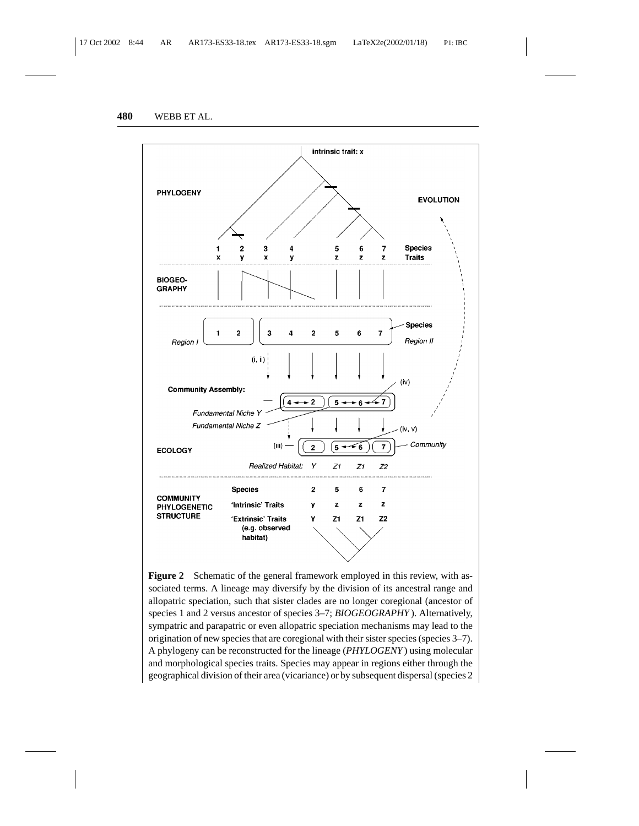

**Figure 2** Schematic of the general framework employed in this review, with associated terms. A lineage may diversify by the division of its ancestral range and allopatric speciation, such that sister clades are no longer coregional (ancestor of species 1 and 2 versus ancestor of species 3–7; *BIOGEOGRAPHY* ). Alternatively, sympatric and parapatric or even allopatric speciation mechanisms may lead to the origination of new species that are coregional with their sister species (species 3–7). A phylogeny can be reconstructed for the lineage (*PHYLOGENY* ) using molecular and morphological species traits. Species may appear in regions either through the geographical division of their area (vicariance) or by subsequent dispersal (species 2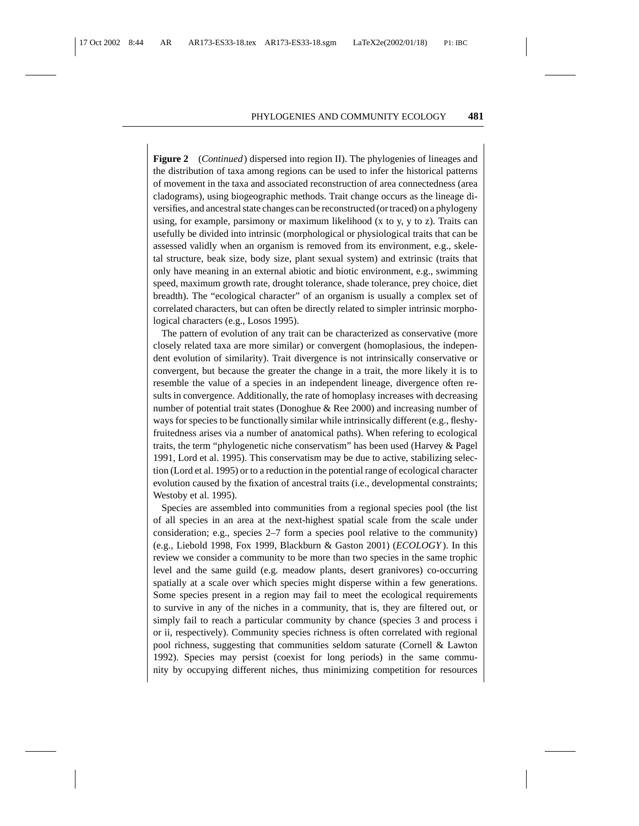**Figure 2** (*Continued*) dispersed into region II). The phylogenies of lineages and the distribution of taxa among regions can be used to infer the historical patterns of movement in the taxa and associated reconstruction of area connectedness (area cladograms), using biogeographic methods. Trait change occurs as the lineage diversifies, and ancestral state changes can be reconstructed (or traced) on a phylogeny using, for example, parsimony or maximum likelihood (x to y, y to z). Traits can usefully be divided into intrinsic (morphological or physiological traits that can be assessed validly when an organism is removed from its environment, e.g., skeletal structure, beak size, body size, plant sexual system) and extrinsic (traits that only have meaning in an external abiotic and biotic environment, e.g., swimming speed, maximum growth rate, drought tolerance, shade tolerance, prey choice, diet breadth). The "ecological character" of an organism is usually a complex set of correlated characters, but can often be directly related to simpler intrinsic morphological characters (e.g., Losos 1995).

The pattern of evolution of any trait can be characterized as conservative (more closely related taxa are more similar) or convergent (homoplasious, the independent evolution of similarity). Trait divergence is not intrinsically conservative or convergent, but because the greater the change in a trait, the more likely it is to resemble the value of a species in an independent lineage, divergence often results in convergence. Additionally, the rate of homoplasy increases with decreasing number of potential trait states (Donoghue & Ree 2000) and increasing number of ways for species to be functionally similar while intrinsically different (e.g., fleshyfruitedness arises via a number of anatomical paths). When refering to ecological traits, the term "phylogenetic niche conservatism" has been used (Harvey & Pagel 1991, Lord et al. 1995). This conservatism may be due to active, stabilizing selection (Lord et al. 1995) or to a reduction in the potential range of ecological character evolution caused by the fixation of ancestral traits (i.e., developmental constraints; Westoby et al. 1995).

Species are assembled into communities from a regional species pool (the list of all species in an area at the next-highest spatial scale from the scale under consideration; e.g., species 2–7 form a species pool relative to the community) (e.g., Liebold 1998, Fox 1999, Blackburn & Gaston 2001) (*ECOLOGY* ). In this review we consider a community to be more than two species in the same trophic level and the same guild (e.g. meadow plants, desert granivores) co-occurring spatially at a scale over which species might disperse within a few generations. Some species present in a region may fail to meet the ecological requirements to survive in any of the niches in a community, that is, they are filtered out, or simply fail to reach a particular community by chance (species 3 and process i or ii, respectively). Community species richness is often correlated with regional pool richness, suggesting that communities seldom saturate (Cornell & Lawton 1992). Species may persist (coexist for long periods) in the same community by occupying different niches, thus minimizing competition for resources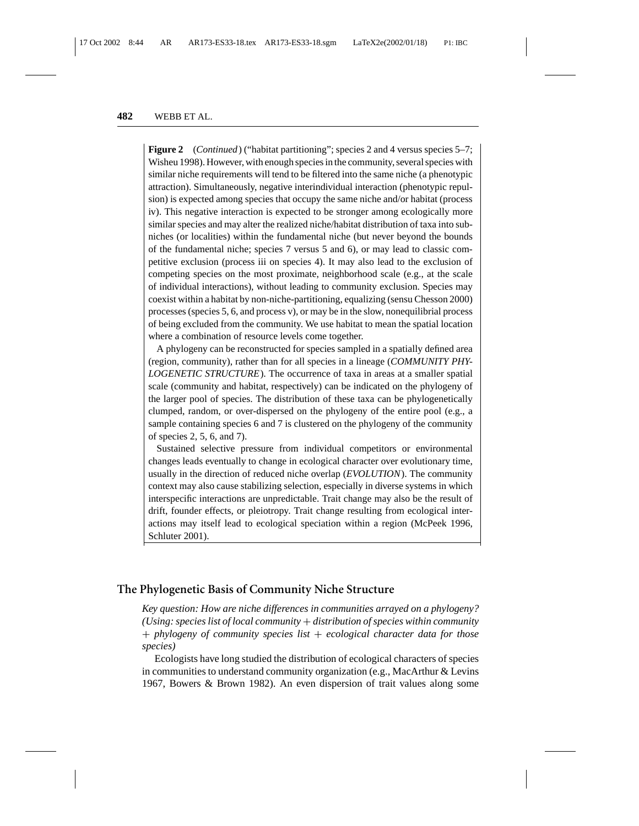**Figure 2** (*Continued*) ("habitat partitioning"; species 2 and 4 versus species 5–7; Wisheu 1998). However, with enough species in the community, several species with similar niche requirements will tend to be filtered into the same niche (a phenotypic attraction). Simultaneously, negative interindividual interaction (phenotypic repulsion) is expected among species that occupy the same niche and/or habitat (process iv). This negative interaction is expected to be stronger among ecologically more similar species and may alter the realized niche/habitat distribution of taxa into subniches (or localities) within the fundamental niche (but never beyond the bounds of the fundamental niche; species 7 versus 5 and 6), or may lead to classic competitive exclusion (process iii on species 4). It may also lead to the exclusion of competing species on the most proximate, neighborhood scale (e.g., at the scale of individual interactions), without leading to community exclusion. Species may coexist within a habitat by non-niche-partitioning, equalizing (sensu Chesson 2000) processes (species 5, 6, and process v), or may be in the slow, nonequilibrial process of being excluded from the community. We use habitat to mean the spatial location where a combination of resource levels come together.

A phylogeny can be reconstructed for species sampled in a spatially defined area (region, community), rather than for all species in a lineage (*COMMUNITY PHY-LOGENETIC STRUCTURE*). The occurrence of taxa in areas at a smaller spatial scale (community and habitat, respectively) can be indicated on the phylogeny of the larger pool of species. The distribution of these taxa can be phylogenetically clumped, random, or over-dispersed on the phylogeny of the entire pool (e.g., a sample containing species 6 and 7 is clustered on the phylogeny of the community of species 2, 5, 6, and 7).

Sustained selective pressure from individual competitors or environmental changes leads eventually to change in ecological character over evolutionary time, usually in the direction of reduced niche overlap (*EVOLUTION*). The community context may also cause stabilizing selection, especially in diverse systems in which interspecific interactions are unpredictable. Trait change may also be the result of drift, founder effects, or pleiotropy. Trait change resulting from ecological interactions may itself lead to ecological speciation within a region (McPeek 1996, Schluter 2001).

## **The Phylogenetic Basis of Community Niche Structure**

*Key question: How are niche differences in communities arrayed on a phylogeny? (Using: species list of local community* + *distribution of species within community* + *phylogeny of community species list* + *ecological character data for those species)*

Ecologists have long studied the distribution of ecological characters of species in communities to understand community organization (e.g., MacArthur & Levins 1967, Bowers & Brown 1982). An even dispersion of trait values along some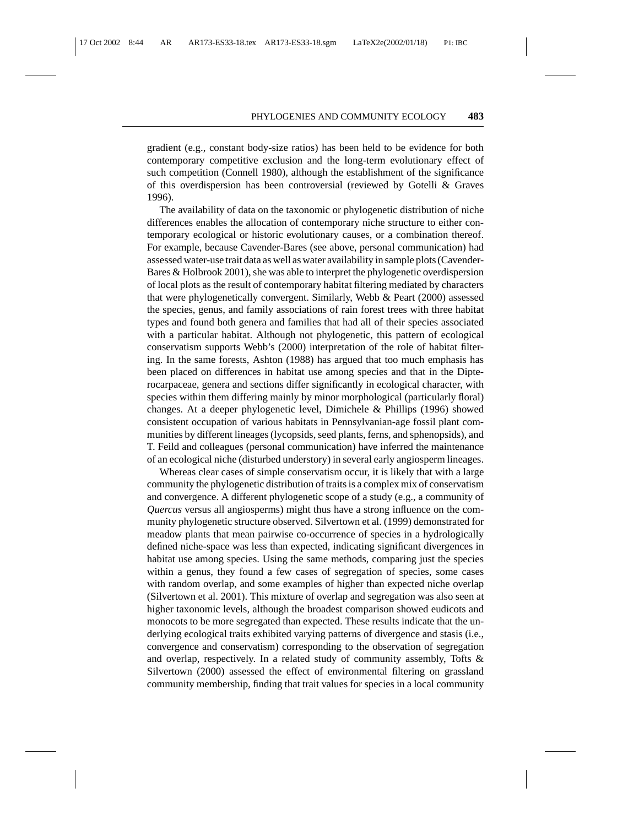gradient (e.g., constant body-size ratios) has been held to be evidence for both contemporary competitive exclusion and the long-term evolutionary effect of such competition (Connell 1980), although the establishment of the significance of this overdispersion has been controversial (reviewed by Gotelli & Graves 1996).

The availability of data on the taxonomic or phylogenetic distribution of niche differences enables the allocation of contemporary niche structure to either contemporary ecological or historic evolutionary causes, or a combination thereof. For example, because Cavender-Bares (see above, personal communication) had assessed water-use trait data as well as water availability in sample plots (Cavender-Bares & Holbrook 2001), she was able to interpret the phylogenetic overdispersion of local plots as the result of contemporary habitat filtering mediated by characters that were phylogenetically convergent. Similarly, Webb & Peart (2000) assessed the species, genus, and family associations of rain forest trees with three habitat types and found both genera and families that had all of their species associated with a particular habitat. Although not phylogenetic, this pattern of ecological conservatism supports Webb's (2000) interpretation of the role of habitat filtering. In the same forests, Ashton (1988) has argued that too much emphasis has been placed on differences in habitat use among species and that in the Dipterocarpaceae, genera and sections differ significantly in ecological character, with species within them differing mainly by minor morphological (particularly floral) changes. At a deeper phylogenetic level, Dimichele & Phillips (1996) showed consistent occupation of various habitats in Pennsylvanian-age fossil plant communities by different lineages (lycopsids, seed plants, ferns, and sphenopsids), and T. Feild and colleagues (personal communication) have inferred the maintenance of an ecological niche (disturbed understory) in several early angiosperm lineages.

Whereas clear cases of simple conservatism occur, it is likely that with a large community the phylogenetic distribution of traits is a complex mix of conservatism and convergence. A different phylogenetic scope of a study (e.g., a community of *Quercus* versus all angiosperms) might thus have a strong influence on the community phylogenetic structure observed. Silvertown et al. (1999) demonstrated for meadow plants that mean pairwise co-occurrence of species in a hydrologically defined niche-space was less than expected, indicating significant divergences in habitat use among species. Using the same methods, comparing just the species within a genus, they found a few cases of segregation of species, some cases with random overlap, and some examples of higher than expected niche overlap (Silvertown et al. 2001). This mixture of overlap and segregation was also seen at higher taxonomic levels, although the broadest comparison showed eudicots and monocots to be more segregated than expected. These results indicate that the underlying ecological traits exhibited varying patterns of divergence and stasis (i.e., convergence and conservatism) corresponding to the observation of segregation and overlap, respectively. In a related study of community assembly, Tofts & Silvertown (2000) assessed the effect of environmental filtering on grassland community membership, finding that trait values for species in a local community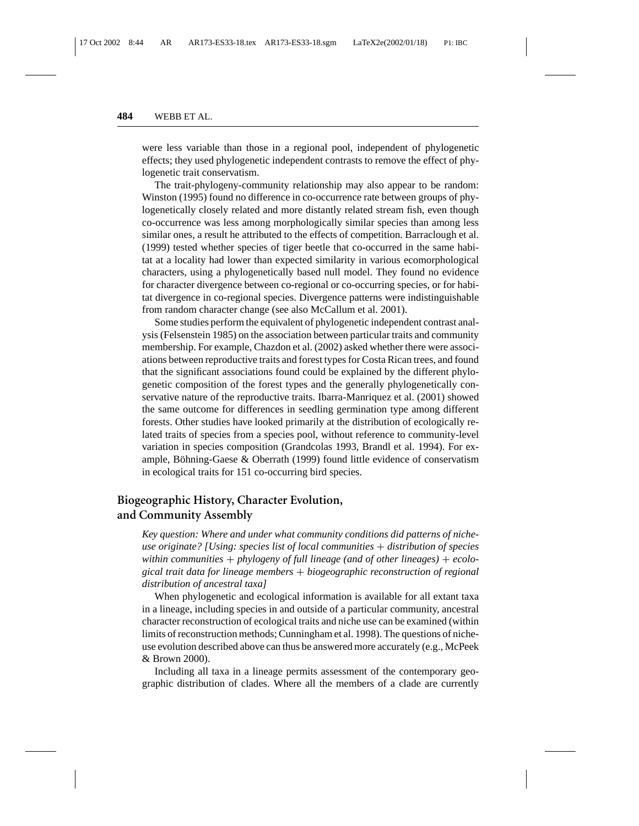were less variable than those in a regional pool, independent of phylogenetic effects; they used phylogenetic independent contrasts to remove the effect of phylogenetic trait conservatism.

The trait-phylogeny-community relationship may also appear to be random: Winston (1995) found no difference in co-occurrence rate between groups of phylogenetically closely related and more distantly related stream fish, even though co-occurrence was less among morphologically similar species than among less similar ones, a result he attributed to the effects of competition. Barraclough et al. (1999) tested whether species of tiger beetle that co-occurred in the same habitat at a locality had lower than expected similarity in various ecomorphological characters, using a phylogenetically based null model. They found no evidence for character divergence between co-regional or co-occurring species, or for habitat divergence in co-regional species. Divergence patterns were indistinguishable from random character change (see also McCallum et al. 2001).

Some studies perform the equivalent of phylogenetic independent contrast analysis (Felsenstein 1985) on the association between particular traits and community membership. For example, Chazdon et al. (2002) asked whether there were associations between reproductive traits and forest types for Costa Rican trees, and found that the significant associations found could be explained by the different phylogenetic composition of the forest types and the generally phylogenetically conservative nature of the reproductive traits. Ibarra-Manriquez et al. (2001) showed the same outcome for differences in seedling germination type among different forests. Other studies have looked primarily at the distribution of ecologically related traits of species from a species pool, without reference to community-level variation in species composition (Grandcolas 1993, Brandl et al. 1994). For example, Böhning-Gaese  $\&$  Oberrath (1999) found little evidence of conservatism in ecological traits for 151 co-occurring bird species.

## **Biogeographic History, Character Evolution, and Community Assembly**

*Key question: Where and under what community conditions did patterns of nicheuse originate? [Using: species list of local communities* + *distribution of species within communities* + *phylogeny of full lineage (and of other lineages)* + *ecological trait data for lineage members* + *biogeographic reconstruction of regional distribution of ancestral taxa]*

When phylogenetic and ecological information is available for all extant taxa in a lineage, including species in and outside of a particular community, ancestral character reconstruction of ecological traits and niche use can be examined (within limits of reconstruction methods; Cunningham et al. 1998). The questions of nicheuse evolution described above can thus be answered more accurately (e.g., McPeek & Brown 2000).

Including all taxa in a lineage permits assessment of the contemporary geographic distribution of clades. Where all the members of a clade are currently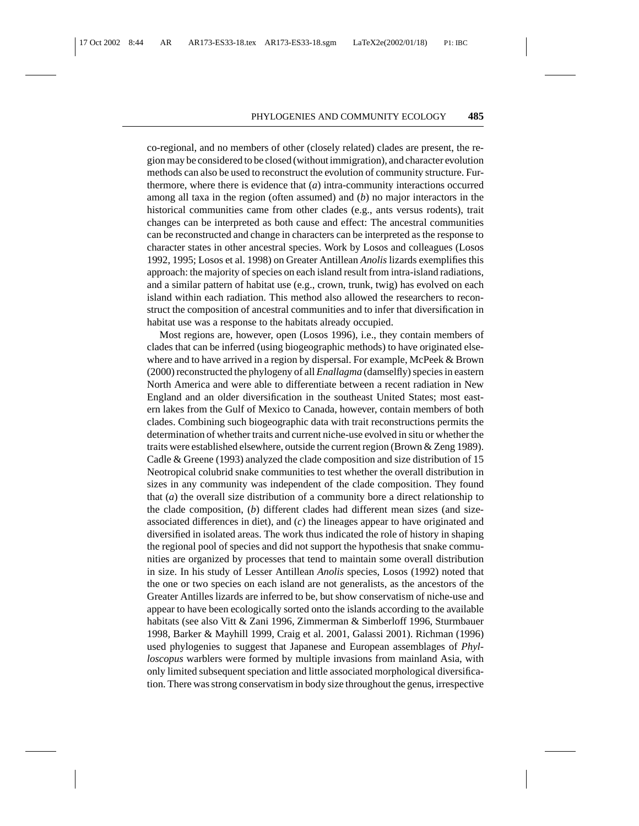co-regional, and no members of other (closely related) clades are present, the region may be considered to be closed (without immigration), and character evolution methods can also be used to reconstruct the evolution of community structure. Furthermore, where there is evidence that (*a*) intra-community interactions occurred among all taxa in the region (often assumed) and (*b*) no major interactors in the historical communities came from other clades (e.g., ants versus rodents), trait changes can be interpreted as both cause and effect: The ancestral communities can be reconstructed and change in characters can be interpreted as the response to character states in other ancestral species. Work by Losos and colleagues (Losos 1992, 1995; Losos et al. 1998) on Greater Antillean *Anolis* lizards exemplifies this approach: the majority of species on each island result from intra-island radiations, and a similar pattern of habitat use (e.g., crown, trunk, twig) has evolved on each island within each radiation. This method also allowed the researchers to reconstruct the composition of ancestral communities and to infer that diversification in habitat use was a response to the habitats already occupied.

Most regions are, however, open (Losos 1996), i.e., they contain members of clades that can be inferred (using biogeographic methods) to have originated elsewhere and to have arrived in a region by dispersal. For example, McPeek & Brown (2000) reconstructed the phylogeny of all *Enallagma* (damselfly) species in eastern North America and were able to differentiate between a recent radiation in New England and an older diversification in the southeast United States; most eastern lakes from the Gulf of Mexico to Canada, however, contain members of both clades. Combining such biogeographic data with trait reconstructions permits the determination of whether traits and current niche-use evolved in situ or whether the traits were established elsewhere, outside the current region (Brown & Zeng 1989). Cadle & Greene (1993) analyzed the clade composition and size distribution of 15 Neotropical colubrid snake communities to test whether the overall distribution in sizes in any community was independent of the clade composition. They found that (*a*) the overall size distribution of a community bore a direct relationship to the clade composition, (*b*) different clades had different mean sizes (and sizeassociated differences in diet), and (*c*) the lineages appear to have originated and diversified in isolated areas. The work thus indicated the role of history in shaping the regional pool of species and did not support the hypothesis that snake communities are organized by processes that tend to maintain some overall distribution in size. In his study of Lesser Antillean *Anolis* species, Losos (1992) noted that the one or two species on each island are not generalists, as the ancestors of the Greater Antilles lizards are inferred to be, but show conservatism of niche-use and appear to have been ecologically sorted onto the islands according to the available habitats (see also Vitt & Zani 1996, Zimmerman & Simberloff 1996, Sturmbauer 1998, Barker & Mayhill 1999, Craig et al. 2001, Galassi 2001). Richman (1996) used phylogenies to suggest that Japanese and European assemblages of *Phylloscopus* warblers were formed by multiple invasions from mainland Asia, with only limited subsequent speciation and little associated morphological diversification. There was strong conservatism in body size throughout the genus, irrespective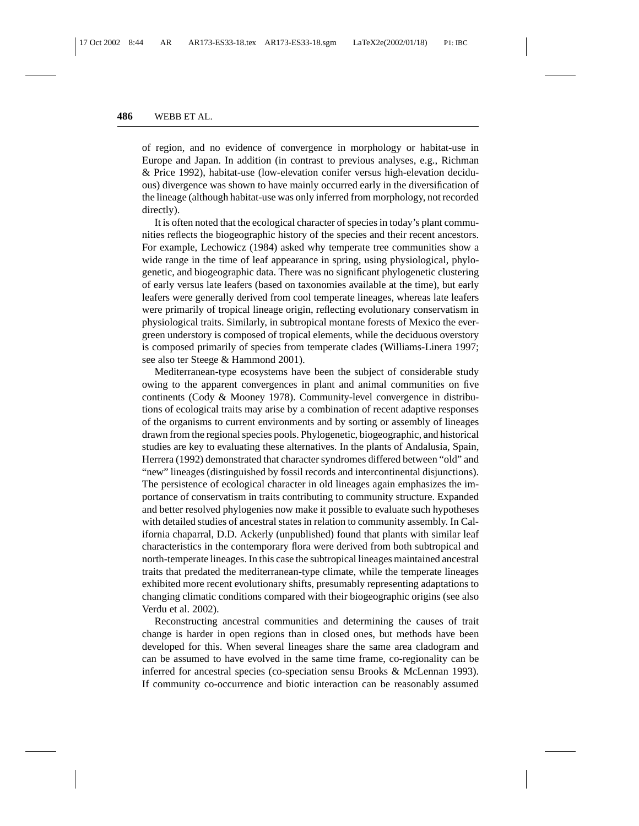of region, and no evidence of convergence in morphology or habitat-use in Europe and Japan. In addition (in contrast to previous analyses, e.g., Richman & Price 1992), habitat-use (low-elevation conifer versus high-elevation deciduous) divergence was shown to have mainly occurred early in the diversification of the lineage (although habitat-use was only inferred from morphology, not recorded directly).

It is often noted that the ecological character of species in today's plant communities reflects the biogeographic history of the species and their recent ancestors. For example, Lechowicz (1984) asked why temperate tree communities show a wide range in the time of leaf appearance in spring, using physiological, phylogenetic, and biogeographic data. There was no significant phylogenetic clustering of early versus late leafers (based on taxonomies available at the time), but early leafers were generally derived from cool temperate lineages, whereas late leafers were primarily of tropical lineage origin, reflecting evolutionary conservatism in physiological traits. Similarly, in subtropical montane forests of Mexico the evergreen understory is composed of tropical elements, while the deciduous overstory is composed primarily of species from temperate clades (Williams-Linera 1997; see also ter Steege & Hammond 2001).

Mediterranean-type ecosystems have been the subject of considerable study owing to the apparent convergences in plant and animal communities on five continents (Cody & Mooney 1978). Community-level convergence in distributions of ecological traits may arise by a combination of recent adaptive responses of the organisms to current environments and by sorting or assembly of lineages drawn from the regional species pools. Phylogenetic, biogeographic, and historical studies are key to evaluating these alternatives. In the plants of Andalusia, Spain, Herrera (1992) demonstrated that character syndromes differed between "old" and "new" lineages (distinguished by fossil records and intercontinental disjunctions). The persistence of ecological character in old lineages again emphasizes the importance of conservatism in traits contributing to community structure. Expanded and better resolved phylogenies now make it possible to evaluate such hypotheses with detailed studies of ancestral states in relation to community assembly. In California chaparral, D.D. Ackerly (unpublished) found that plants with similar leaf characteristics in the contemporary flora were derived from both subtropical and north-temperate lineages. In this case the subtropical lineages maintained ancestral traits that predated the mediterranean-type climate, while the temperate lineages exhibited more recent evolutionary shifts, presumably representing adaptations to changing climatic conditions compared with their biogeographic origins (see also Verdu et al. 2002).

Reconstructing ancestral communities and determining the causes of trait change is harder in open regions than in closed ones, but methods have been developed for this. When several lineages share the same area cladogram and can be assumed to have evolved in the same time frame, co-regionality can be inferred for ancestral species (co-speciation sensu Brooks & McLennan 1993). If community co-occurrence and biotic interaction can be reasonably assumed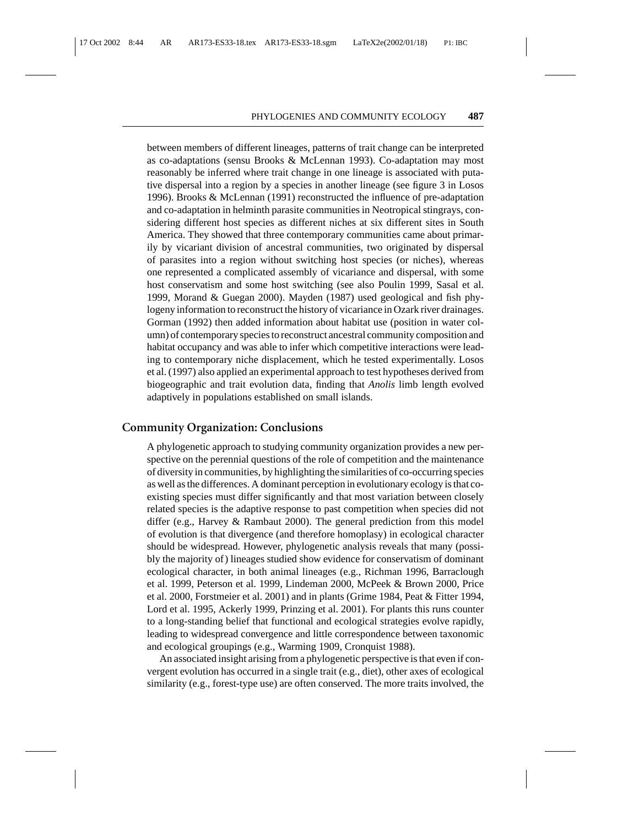between members of different lineages, patterns of trait change can be interpreted as co-adaptations (sensu Brooks & McLennan 1993). Co-adaptation may most reasonably be inferred where trait change in one lineage is associated with putative dispersal into a region by a species in another lineage (see figure 3 in Losos 1996). Brooks & McLennan (1991) reconstructed the influence of pre-adaptation and co-adaptation in helminth parasite communities in Neotropical stingrays, considering different host species as different niches at six different sites in South America. They showed that three contemporary communities came about primarily by vicariant division of ancestral communities, two originated by dispersal of parasites into a region without switching host species (or niches), whereas one represented a complicated assembly of vicariance and dispersal, with some host conservatism and some host switching (see also Poulin 1999, Sasal et al. 1999, Morand & Guegan 2000). Mayden (1987) used geological and fish phylogeny information to reconstruct the history of vicariance in Ozark river drainages. Gorman (1992) then added information about habitat use (position in water column) of contemporary species to reconstruct ancestral community composition and habitat occupancy and was able to infer which competitive interactions were leading to contemporary niche displacement, which he tested experimentally. Losos et al. (1997) also applied an experimental approach to test hypotheses derived from biogeographic and trait evolution data, finding that *Anolis* limb length evolved adaptively in populations established on small islands.

#### **Community Organization: Conclusions**

A phylogenetic approach to studying community organization provides a new perspective on the perennial questions of the role of competition and the maintenance of diversity in communities, by highlighting the similarities of co-occurring species as well as the differences. A dominant perception in evolutionary ecology is that coexisting species must differ significantly and that most variation between closely related species is the adaptive response to past competition when species did not differ (e.g., Harvey & Rambaut 2000). The general prediction from this model of evolution is that divergence (and therefore homoplasy) in ecological character should be widespread. However, phylogenetic analysis reveals that many (possibly the majority of) lineages studied show evidence for conservatism of dominant ecological character, in both animal lineages (e.g., Richman 1996, Barraclough et al. 1999, Peterson et al. 1999, Lindeman 2000, McPeek & Brown 2000, Price et al. 2000, Forstmeier et al. 2001) and in plants (Grime 1984, Peat & Fitter 1994, Lord et al. 1995, Ackerly 1999, Prinzing et al. 2001). For plants this runs counter to a long-standing belief that functional and ecological strategies evolve rapidly, leading to widespread convergence and little correspondence between taxonomic and ecological groupings (e.g., Warming 1909, Cronquist 1988).

An associated insight arising from a phylogenetic perspective is that even if convergent evolution has occurred in a single trait (e.g., diet), other axes of ecological similarity (e.g., forest-type use) are often conserved. The more traits involved, the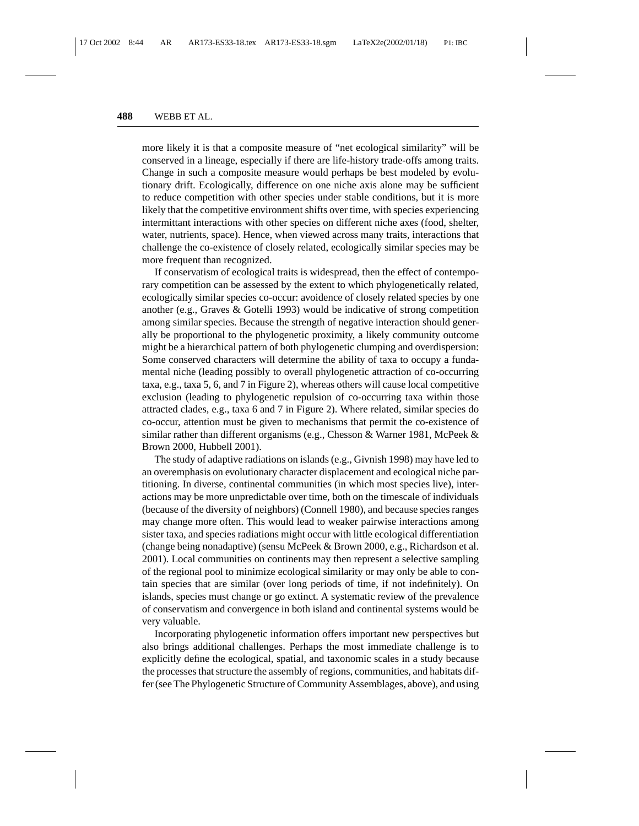more likely it is that a composite measure of "net ecological similarity" will be conserved in a lineage, especially if there are life-history trade-offs among traits. Change in such a composite measure would perhaps be best modeled by evolutionary drift. Ecologically, difference on one niche axis alone may be sufficient to reduce competition with other species under stable conditions, but it is more likely that the competitive environment shifts over time, with species experiencing intermittant interactions with other species on different niche axes (food, shelter, water, nutrients, space). Hence, when viewed across many traits, interactions that challenge the co-existence of closely related, ecologically similar species may be more frequent than recognized.

If conservatism of ecological traits is widespread, then the effect of contemporary competition can be assessed by the extent to which phylogenetically related, ecologically similar species co-occur: avoidence of closely related species by one another (e.g., Graves & Gotelli 1993) would be indicative of strong competition among similar species. Because the strength of negative interaction should generally be proportional to the phylogenetic proximity, a likely community outcome might be a hierarchical pattern of both phylogenetic clumping and overdispersion: Some conserved characters will determine the ability of taxa to occupy a fundamental niche (leading possibly to overall phylogenetic attraction of co-occurring taxa, e.g., taxa 5, 6, and 7 in Figure 2), whereas others will cause local competitive exclusion (leading to phylogenetic repulsion of co-occurring taxa within those attracted clades, e.g., taxa 6 and 7 in Figure 2). Where related, similar species do co-occur, attention must be given to mechanisms that permit the co-existence of similar rather than different organisms (e.g., Chesson & Warner 1981, McPeek & Brown 2000, Hubbell 2001).

The study of adaptive radiations on islands (e.g., Givnish 1998) may have led to an overemphasis on evolutionary character displacement and ecological niche partitioning. In diverse, continental communities (in which most species live), interactions may be more unpredictable over time, both on the timescale of individuals (because of the diversity of neighbors) (Connell 1980), and because species ranges may change more often. This would lead to weaker pairwise interactions among sister taxa, and species radiations might occur with little ecological differentiation (change being nonadaptive) (sensu McPeek & Brown 2000, e.g., Richardson et al. 2001). Local communities on continents may then represent a selective sampling of the regional pool to minimize ecological similarity or may only be able to contain species that are similar (over long periods of time, if not indefinitely). On islands, species must change or go extinct. A systematic review of the prevalence of conservatism and convergence in both island and continental systems would be very valuable.

Incorporating phylogenetic information offers important new perspectives but also brings additional challenges. Perhaps the most immediate challenge is to explicitly define the ecological, spatial, and taxonomic scales in a study because the processes that structure the assembly of regions, communities, and habitats differ (see The Phylogenetic Structure of Community Assemblages, above), and using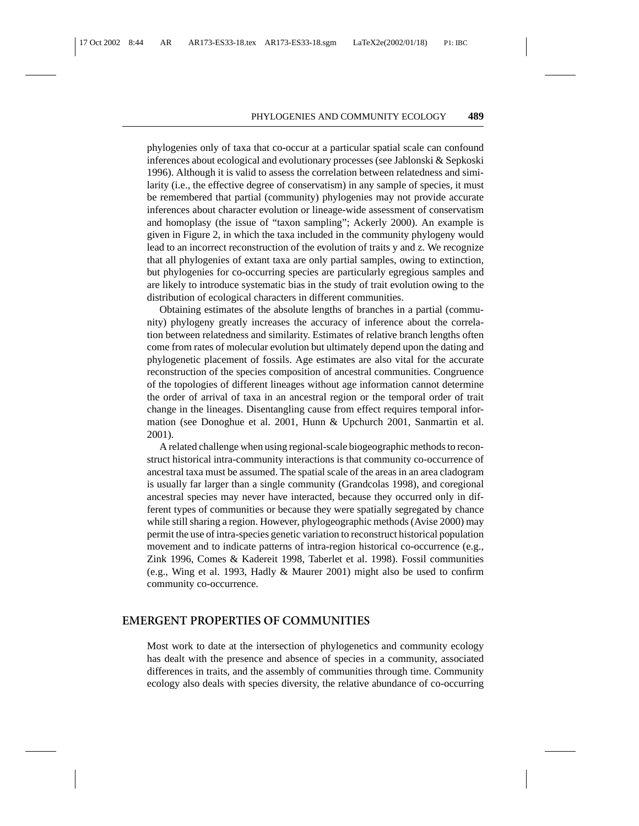phylogenies only of taxa that co-occur at a particular spatial scale can confound inferences about ecological and evolutionary processes (see Jablonski & Sepkoski 1996). Although it is valid to assess the correlation between relatedness and similarity (i.e., the effective degree of conservatism) in any sample of species, it must be remembered that partial (community) phylogenies may not provide accurate inferences about character evolution or lineage-wide assessment of conservatism and homoplasy (the issue of "taxon sampling"; Ackerly 2000). An example is given in Figure 2, in which the taxa included in the community phylogeny would lead to an incorrect reconstruction of the evolution of traits y and z. We recognize that all phylogenies of extant taxa are only partial samples, owing to extinction, but phylogenies for co-occurring species are particularly egregious samples and are likely to introduce systematic bias in the study of trait evolution owing to the distribution of ecological characters in different communities.

Obtaining estimates of the absolute lengths of branches in a partial (community) phylogeny greatly increases the accuracy of inference about the correlation between relatedness and similarity. Estimates of relative branch lengths often come from rates of molecular evolution but ultimately depend upon the dating and phylogenetic placement of fossils. Age estimates are also vital for the accurate reconstruction of the species composition of ancestral communities. Congruence of the topologies of different lineages without age information cannot determine the order of arrival of taxa in an ancestral region or the temporal order of trait change in the lineages. Disentangling cause from effect requires temporal information (see Donoghue et al. 2001, Hunn & Upchurch 2001, Sanmartin et al. 2001).

A related challenge when using regional-scale biogeographic methods to reconstruct historical intra-community interactions is that community co-occurrence of ancestral taxa must be assumed. The spatial scale of the areas in an area cladogram is usually far larger than a single community (Grandcolas 1998), and coregional ancestral species may never have interacted, because they occurred only in different types of communities or because they were spatially segregated by chance while still sharing a region. However, phylogeographic methods (Avise 2000) may permit the use of intra-species genetic variation to reconstruct historical population movement and to indicate patterns of intra-region historical co-occurrence (e.g., Zink 1996, Comes & Kadereit 1998, Taberlet et al. 1998). Fossil communities (e.g., Wing et al. 1993, Hadly & Maurer 2001) might also be used to confirm community co-occurrence.

#### **EMERGENT PROPERTIES OF COMMUNITIES**

Most work to date at the intersection of phylogenetics and community ecology has dealt with the presence and absence of species in a community, associated differences in traits, and the assembly of communities through time. Community ecology also deals with species diversity, the relative abundance of co-occurring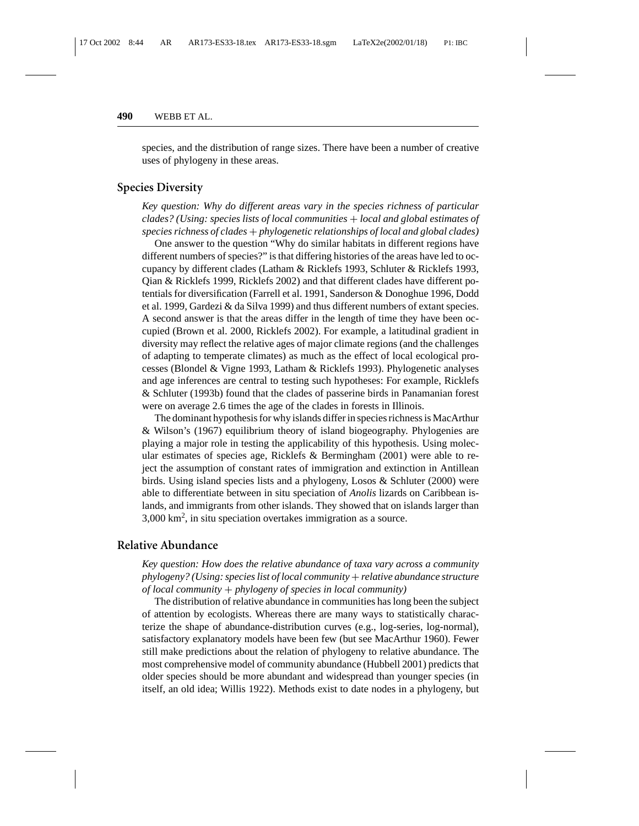species, and the distribution of range sizes. There have been a number of creative uses of phylogeny in these areas.

#### **Species Diversity**

*Key question: Why do different areas vary in the species richness of particular clades? (Using: species lists of local communities* + *local and global estimates of species richness of clades* + *phylogenetic relationships of local and global clades)*

One answer to the question "Why do similar habitats in different regions have different numbers of species?" is that differing histories of the areas have led to occupancy by different clades (Latham & Ricklefs 1993, Schluter & Ricklefs 1993, Qian & Ricklefs 1999, Ricklefs 2002) and that different clades have different potentials for diversification (Farrell et al. 1991, Sanderson & Donoghue 1996, Dodd et al. 1999, Gardezi & da Silva 1999) and thus different numbers of extant species. A second answer is that the areas differ in the length of time they have been occupied (Brown et al. 2000, Ricklefs 2002). For example, a latitudinal gradient in diversity may reflect the relative ages of major climate regions (and the challenges of adapting to temperate climates) as much as the effect of local ecological processes (Blondel & Vigne 1993, Latham & Ricklefs 1993). Phylogenetic analyses and age inferences are central to testing such hypotheses: For example, Ricklefs & Schluter (1993b) found that the clades of passerine birds in Panamanian forest were on average 2.6 times the age of the clades in forests in Illinois.

The dominant hypothesis for why islands differ in species richness is MacArthur & Wilson's (1967) equilibrium theory of island biogeography. Phylogenies are playing a major role in testing the applicability of this hypothesis. Using molecular estimates of species age, Ricklefs & Bermingham (2001) were able to reject the assumption of constant rates of immigration and extinction in Antillean birds. Using island species lists and a phylogeny, Losos & Schluter (2000) were able to differentiate between in situ speciation of *Anolis* lizards on Caribbean islands, and immigrants from other islands. They showed that on islands larger than 3,000 km2 , in situ speciation overtakes immigration as a source.

#### **Relative Abundance**

*Key question: How does the relative abundance of taxa vary across a community phylogeny? (Using: species list of local community* + *relative abundance structure of local community* + *phylogeny of species in local community)*

The distribution of relative abundance in communities has long been the subject of attention by ecologists. Whereas there are many ways to statistically characterize the shape of abundance-distribution curves (e.g., log-series, log-normal), satisfactory explanatory models have been few (but see MacArthur 1960). Fewer still make predictions about the relation of phylogeny to relative abundance. The most comprehensive model of community abundance (Hubbell 2001) predicts that older species should be more abundant and widespread than younger species (in itself, an old idea; Willis 1922). Methods exist to date nodes in a phylogeny, but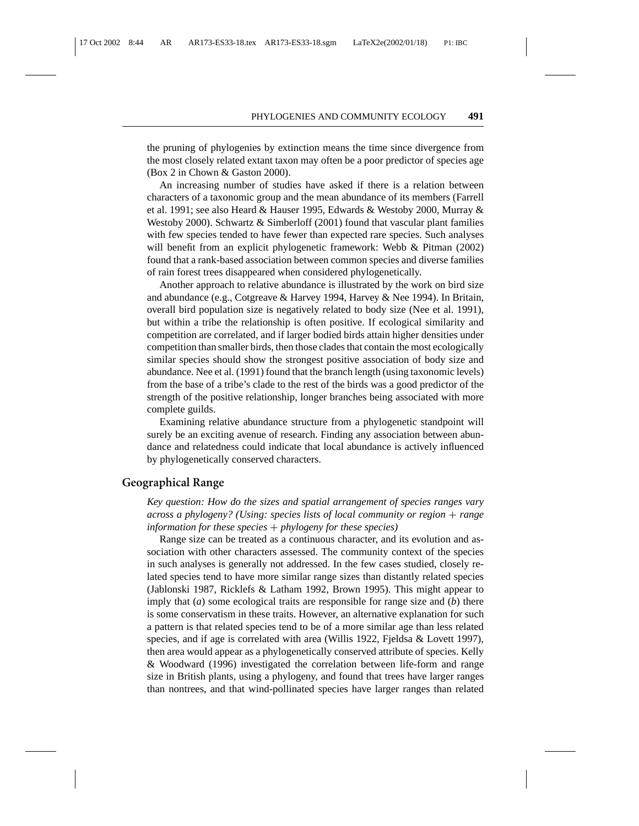the pruning of phylogenies by extinction means the time since divergence from the most closely related extant taxon may often be a poor predictor of species age (Box 2 in Chown & Gaston 2000).

An increasing number of studies have asked if there is a relation between characters of a taxonomic group and the mean abundance of its members (Farrell et al. 1991; see also Heard & Hauser 1995, Edwards & Westoby 2000, Murray & Westoby 2000). Schwartz & Simberloff (2001) found that vascular plant families with few species tended to have fewer than expected rare species. Such analyses will benefit from an explicit phylogenetic framework: Webb & Pitman (2002) found that a rank-based association between common species and diverse families of rain forest trees disappeared when considered phylogenetically.

Another approach to relative abundance is illustrated by the work on bird size and abundance (e.g., Cotgreave & Harvey 1994, Harvey & Nee 1994). In Britain, overall bird population size is negatively related to body size (Nee et al. 1991), but within a tribe the relationship is often positive. If ecological similarity and competition are correlated, and if larger bodied birds attain higher densities under competition than smaller birds, then those clades that contain the most ecologically similar species should show the strongest positive association of body size and abundance. Nee et al. (1991) found that the branch length (using taxonomic levels) from the base of a tribe's clade to the rest of the birds was a good predictor of the strength of the positive relationship, longer branches being associated with more complete guilds.

Examining relative abundance structure from a phylogenetic standpoint will surely be an exciting avenue of research. Finding any association between abundance and relatedness could indicate that local abundance is actively influenced by phylogenetically conserved characters.

## **Geographical Range**

*Key question: How do the sizes and spatial arrangement of species ranges vary across a phylogeny? (Using: species lists of local community or region* + *range information for these species* + *phylogeny for these species)*

Range size can be treated as a continuous character, and its evolution and association with other characters assessed. The community context of the species in such analyses is generally not addressed. In the few cases studied, closely related species tend to have more similar range sizes than distantly related species (Jablonski 1987, Ricklefs & Latham 1992, Brown 1995). This might appear to imply that (*a*) some ecological traits are responsible for range size and (*b*) there is some conservatism in these traits. However, an alternative explanation for such a pattern is that related species tend to be of a more similar age than less related species, and if age is correlated with area (Willis 1922, Fjeldsa & Lovett 1997), then area would appear as a phylogenetically conserved attribute of species. Kelly & Woodward (1996) investigated the correlation between life-form and range size in British plants, using a phylogeny, and found that trees have larger ranges than nontrees, and that wind-pollinated species have larger ranges than related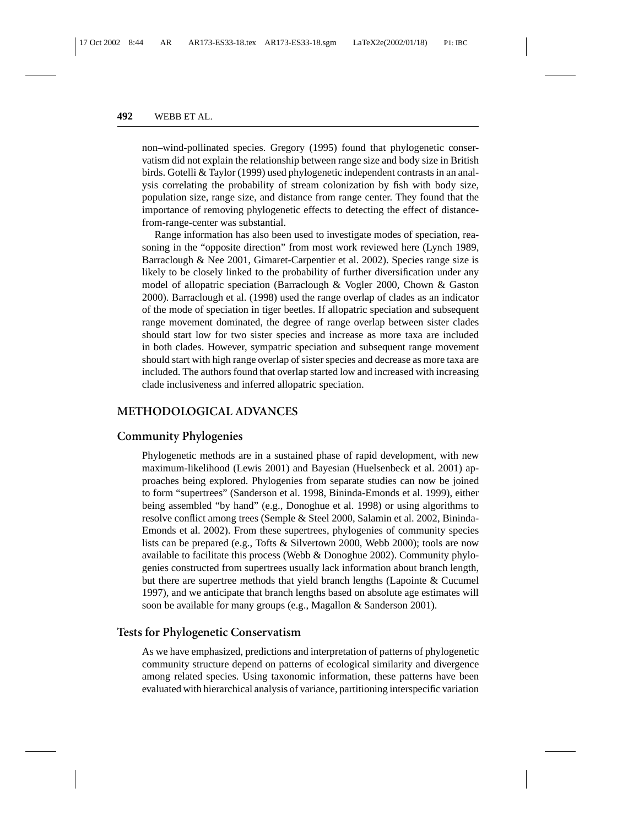non–wind-pollinated species. Gregory (1995) found that phylogenetic conservatism did not explain the relationship between range size and body size in British birds. Gotelli & Taylor (1999) used phylogenetic independent contrasts in an analysis correlating the probability of stream colonization by fish with body size, population size, range size, and distance from range center. They found that the importance of removing phylogenetic effects to detecting the effect of distancefrom-range-center was substantial.

Range information has also been used to investigate modes of speciation, reasoning in the "opposite direction" from most work reviewed here (Lynch 1989, Barraclough & Nee 2001, Gimaret-Carpentier et al. 2002). Species range size is likely to be closely linked to the probability of further diversification under any model of allopatric speciation (Barraclough & Vogler 2000, Chown & Gaston 2000). Barraclough et al. (1998) used the range overlap of clades as an indicator of the mode of speciation in tiger beetles. If allopatric speciation and subsequent range movement dominated, the degree of range overlap between sister clades should start low for two sister species and increase as more taxa are included in both clades. However, sympatric speciation and subsequent range movement should start with high range overlap of sister species and decrease as more taxa are included. The authors found that overlap started low and increased with increasing clade inclusiveness and inferred allopatric speciation.

#### **METHODOLOGICAL ADVANCES**

#### **Community Phylogenies**

Phylogenetic methods are in a sustained phase of rapid development, with new maximum-likelihood (Lewis 2001) and Bayesian (Huelsenbeck et al. 2001) approaches being explored. Phylogenies from separate studies can now be joined to form "supertrees" (Sanderson et al. 1998, Bininda-Emonds et al. 1999), either being assembled "by hand" (e.g., Donoghue et al. 1998) or using algorithms to resolve conflict among trees (Semple & Steel 2000, Salamin et al. 2002, Bininda-Emonds et al. 2002). From these supertrees, phylogenies of community species lists can be prepared (e.g., Tofts & Silvertown 2000, Webb 2000); tools are now available to facilitate this process (Webb & Donoghue 2002). Community phylogenies constructed from supertrees usually lack information about branch length, but there are supertree methods that yield branch lengths (Lapointe & Cucumel 1997), and we anticipate that branch lengths based on absolute age estimates will soon be available for many groups (e.g., Magallon & Sanderson 2001).

#### **Tests for Phylogenetic Conservatism**

As we have emphasized, predictions and interpretation of patterns of phylogenetic community structure depend on patterns of ecological similarity and divergence among related species. Using taxonomic information, these patterns have been evaluated with hierarchical analysis of variance, partitioning interspecific variation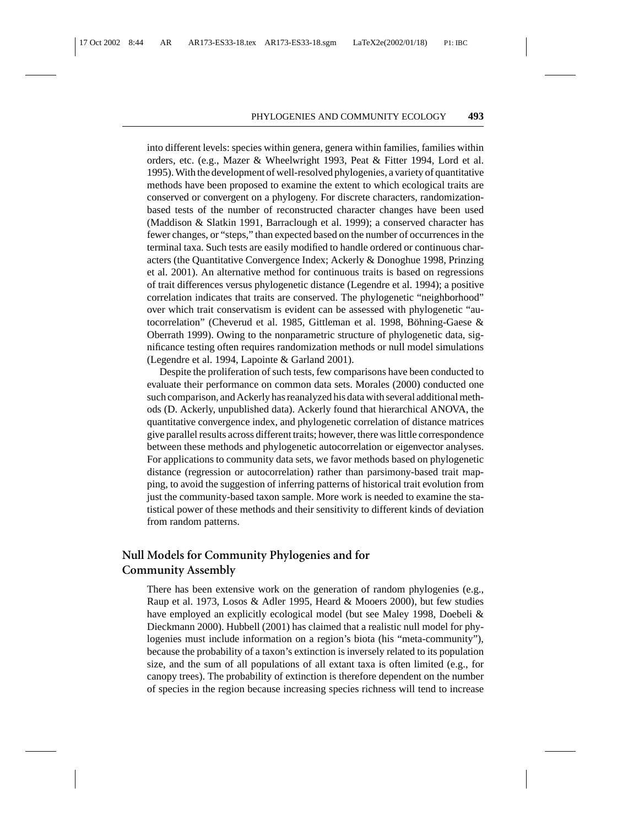into different levels: species within genera, genera within families, families within orders, etc. (e.g., Mazer & Wheelwright 1993, Peat & Fitter 1994, Lord et al. 1995). With the development of well-resolved phylogenies, a variety of quantitative methods have been proposed to examine the extent to which ecological traits are conserved or convergent on a phylogeny. For discrete characters, randomizationbased tests of the number of reconstructed character changes have been used (Maddison & Slatkin 1991, Barraclough et al. 1999); a conserved character has fewer changes, or "steps," than expected based on the number of occurrences in the terminal taxa. Such tests are easily modified to handle ordered or continuous characters (the Quantitative Convergence Index; Ackerly & Donoghue 1998, Prinzing et al. 2001). An alternative method for continuous traits is based on regressions of trait differences versus phylogenetic distance (Legendre et al. 1994); a positive correlation indicates that traits are conserved. The phylogenetic "neighborhood" over which trait conservatism is evident can be assessed with phylogenetic "autocorrelation" (Cheverud et al. 1985, Gittleman et al. 1998, Böhning-Gaese  $\&$ Oberrath 1999). Owing to the nonparametric structure of phylogenetic data, significance testing often requires randomization methods or null model simulations (Legendre et al. 1994, Lapointe & Garland 2001).

Despite the proliferation of such tests, few comparisons have been conducted to evaluate their performance on common data sets. Morales (2000) conducted one such comparison, and Ackerly has reanalyzed his data with several additional methods (D. Ackerly, unpublished data). Ackerly found that hierarchical ANOVA, the quantitative convergence index, and phylogenetic correlation of distance matrices give parallel results across different traits; however, there was little correspondence between these methods and phylogenetic autocorrelation or eigenvector analyses. For applications to community data sets, we favor methods based on phylogenetic distance (regression or autocorrelation) rather than parsimony-based trait mapping, to avoid the suggestion of inferring patterns of historical trait evolution from just the community-based taxon sample. More work is needed to examine the statistical power of these methods and their sensitivity to different kinds of deviation from random patterns.

## **Null Models for Community Phylogenies and for Community Assembly**

There has been extensive work on the generation of random phylogenies (e.g., Raup et al. 1973, Losos & Adler 1995, Heard & Mooers 2000), but few studies have employed an explicitly ecological model (but see Maley 1998, Doebeli & Dieckmann 2000). Hubbell (2001) has claimed that a realistic null model for phylogenies must include information on a region's biota (his "meta-community"), because the probability of a taxon's extinction is inversely related to its population size, and the sum of all populations of all extant taxa is often limited (e.g., for canopy trees). The probability of extinction is therefore dependent on the number of species in the region because increasing species richness will tend to increase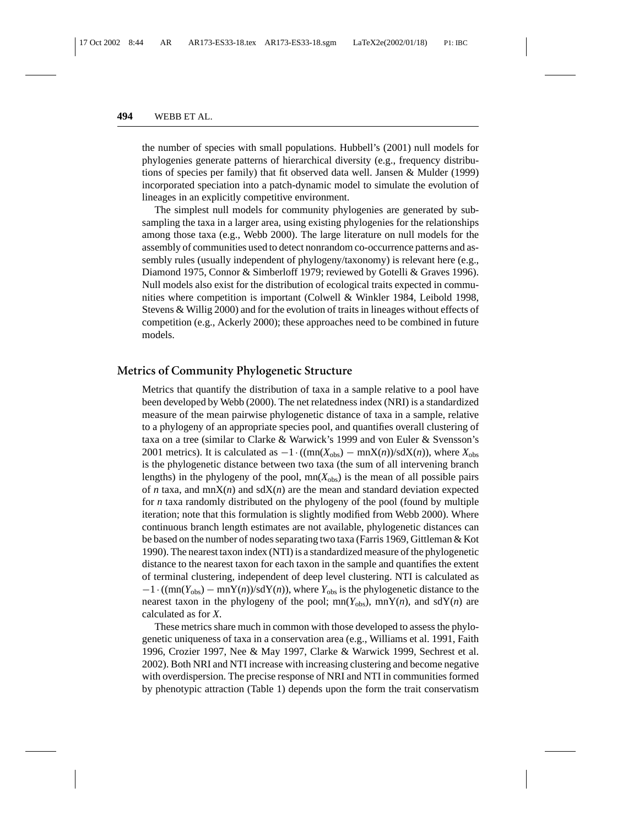the number of species with small populations. Hubbell's (2001) null models for phylogenies generate patterns of hierarchical diversity (e.g., frequency distributions of species per family) that fit observed data well. Jansen & Mulder (1999) incorporated speciation into a patch-dynamic model to simulate the evolution of lineages in an explicitly competitive environment.

The simplest null models for community phylogenies are generated by subsampling the taxa in a larger area, using existing phylogenies for the relationships among those taxa (e.g., Webb 2000). The large literature on null models for the assembly of communities used to detect nonrandom co-occurrence patterns and assembly rules (usually independent of phylogeny/taxonomy) is relevant here (e.g., Diamond 1975, Connor & Simberloff 1979; reviewed by Gotelli & Graves 1996). Null models also exist for the distribution of ecological traits expected in communities where competition is important (Colwell & Winkler 1984, Leibold 1998, Stevens & Willig 2000) and for the evolution of traits in lineages without effects of competition (e.g., Ackerly 2000); these approaches need to be combined in future models.

## **Metrics of Community Phylogenetic Structure**

Metrics that quantify the distribution of taxa in a sample relative to a pool have been developed by Webb (2000). The net relatedness index (NRI) is a standardized measure of the mean pairwise phylogenetic distance of taxa in a sample, relative to a phylogeny of an appropriate species pool, and quantifies overall clustering of taxa on a tree (similar to Clarke & Warwick's 1999 and von Euler & Svensson's 2001 metrics). It is calculated as  $-1 \cdot ((mn(X_{obs}) - mnX(n))/sdX(n))$ , where  $X_{obs}$ is the phylogenetic distance between two taxa (the sum of all intervening branch lengths) in the phylogeny of the pool,  $mn(X_{obs})$  is the mean of all possible pairs of *n* taxa, and  $\text{mnX}(n)$  and  $\text{sdX}(n)$  are the mean and standard deviation expected for *n* taxa randomly distributed on the phylogeny of the pool (found by multiple iteration; note that this formulation is slightly modified from Webb 2000). Where continuous branch length estimates are not available, phylogenetic distances can be based on the number of nodes separating two taxa (Farris 1969, Gittleman & Kot 1990). The nearest taxon index (NTI) is a standardized measure of the phylogenetic distance to the nearest taxon for each taxon in the sample and quantifies the extent of terminal clustering, independent of deep level clustering. NTI is calculated as −1· ((mn(*Y*obs) − mnY(*n*))/sdY(*n*)), where *Y*obs is the phylogenetic distance to the nearest taxon in the phylogeny of the pool;  $mn(Y_{obs})$ ,  $mnY(n)$ , and  $sdY(n)$  are calculated as for *X*.

These metrics share much in common with those developed to assess the phylogenetic uniqueness of taxa in a conservation area (e.g., Williams et al. 1991, Faith 1996, Crozier 1997, Nee & May 1997, Clarke & Warwick 1999, Sechrest et al. 2002). Both NRI and NTI increase with increasing clustering and become negative with overdispersion. The precise response of NRI and NTI in communities formed by phenotypic attraction (Table 1) depends upon the form the trait conservatism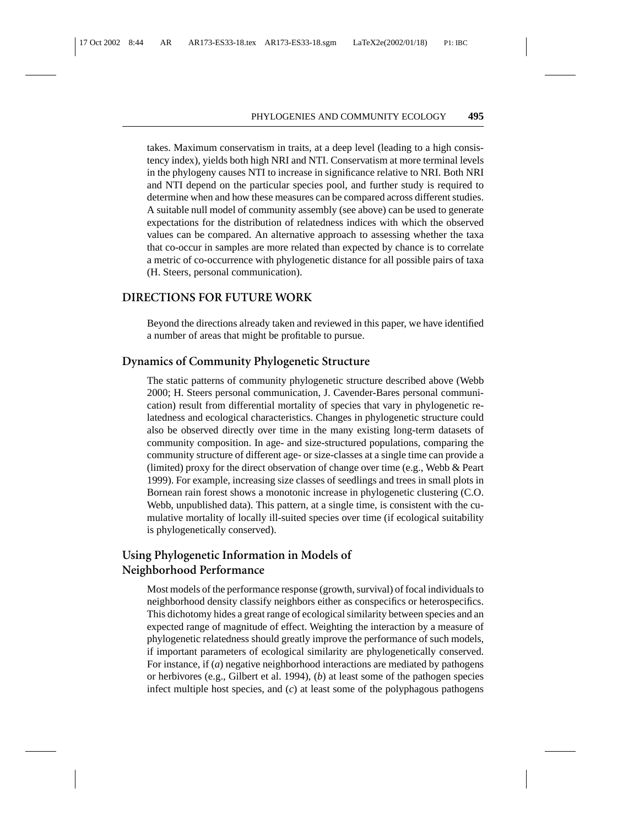takes. Maximum conservatism in traits, at a deep level (leading to a high consistency index), yields both high NRI and NTI. Conservatism at more terminal levels in the phylogeny causes NTI to increase in significance relative to NRI. Both NRI and NTI depend on the particular species pool, and further study is required to determine when and how these measures can be compared across different studies. A suitable null model of community assembly (see above) can be used to generate expectations for the distribution of relatedness indices with which the observed values can be compared. An alternative approach to assessing whether the taxa that co-occur in samples are more related than expected by chance is to correlate a metric of co-occurrence with phylogenetic distance for all possible pairs of taxa (H. Steers, personal communication).

#### **DIRECTIONS FOR FUTURE WORK**

Beyond the directions already taken and reviewed in this paper, we have identified a number of areas that might be profitable to pursue.

#### **Dynamics of Community Phylogenetic Structure**

The static patterns of community phylogenetic structure described above (Webb 2000; H. Steers personal communication, J. Cavender-Bares personal communication) result from differential mortality of species that vary in phylogenetic relatedness and ecological characteristics. Changes in phylogenetic structure could also be observed directly over time in the many existing long-term datasets of community composition. In age- and size-structured populations, comparing the community structure of different age- or size-classes at a single time can provide a (limited) proxy for the direct observation of change over time (e.g., Webb & Peart 1999). For example, increasing size classes of seedlings and trees in small plots in Bornean rain forest shows a monotonic increase in phylogenetic clustering (C.O. Webb, unpublished data). This pattern, at a single time, is consistent with the cumulative mortality of locally ill-suited species over time (if ecological suitability is phylogenetically conserved).

## **Using Phylogenetic Information in Models of Neighborhood Performance**

Most models of the performance response (growth, survival) of focal individuals to neighborhood density classify neighbors either as conspecifics or heterospecifics. This dichotomy hides a great range of ecological similarity between species and an expected range of magnitude of effect. Weighting the interaction by a measure of phylogenetic relatedness should greatly improve the performance of such models, if important parameters of ecological similarity are phylogenetically conserved. For instance, if (*a*) negative neighborhood interactions are mediated by pathogens or herbivores (e.g., Gilbert et al. 1994), (*b*) at least some of the pathogen species infect multiple host species, and (*c*) at least some of the polyphagous pathogens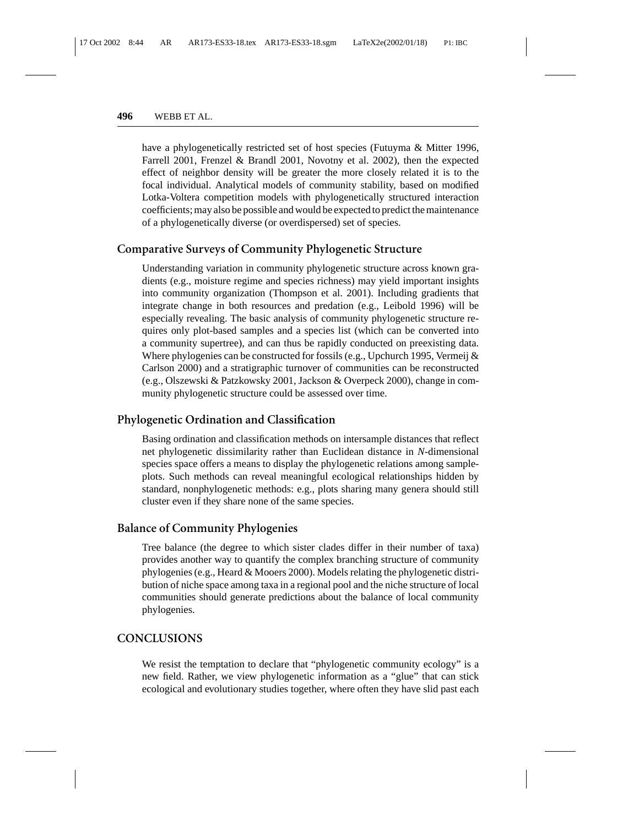have a phylogenetically restricted set of host species (Futuyma & Mitter 1996, Farrell 2001, Frenzel & Brandl 2001, Novotny et al. 2002), then the expected effect of neighbor density will be greater the more closely related it is to the focal individual. Analytical models of community stability, based on modified Lotka-Voltera competition models with phylogenetically structured interaction coefficients; may also be possible and would be expected to predict the maintenance of a phylogenetically diverse (or overdispersed) set of species.

#### **Comparative Surveys of Community Phylogenetic Structure**

Understanding variation in community phylogenetic structure across known gradients (e.g., moisture regime and species richness) may yield important insights into community organization (Thompson et al. 2001). Including gradients that integrate change in both resources and predation (e.g., Leibold 1996) will be especially revealing. The basic analysis of community phylogenetic structure requires only plot-based samples and a species list (which can be converted into a community supertree), and can thus be rapidly conducted on preexisting data. Where phylogenies can be constructed for fossils (e.g., Upchurch 1995, Vermeij & Carlson 2000) and a stratigraphic turnover of communities can be reconstructed (e.g., Olszewski & Patzkowsky 2001, Jackson & Overpeck 2000), change in community phylogenetic structure could be assessed over time.

#### **Phylogenetic Ordination and Classification**

Basing ordination and classification methods on intersample distances that reflect net phylogenetic dissimilarity rather than Euclidean distance in *N*-dimensional species space offers a means to display the phylogenetic relations among sampleplots. Such methods can reveal meaningful ecological relationships hidden by standard, nonphylogenetic methods: e.g., plots sharing many genera should still cluster even if they share none of the same species.

## **Balance of Community Phylogenies**

Tree balance (the degree to which sister clades differ in their number of taxa) provides another way to quantify the complex branching structure of community phylogenies (e.g., Heard & Mooers 2000). Models relating the phylogenetic distribution of niche space among taxa in a regional pool and the niche structure of local communities should generate predictions about the balance of local community phylogenies.

#### **CONCLUSIONS**

We resist the temptation to declare that "phylogenetic community ecology" is a new field. Rather, we view phylogenetic information as a "glue" that can stick ecological and evolutionary studies together, where often they have slid past each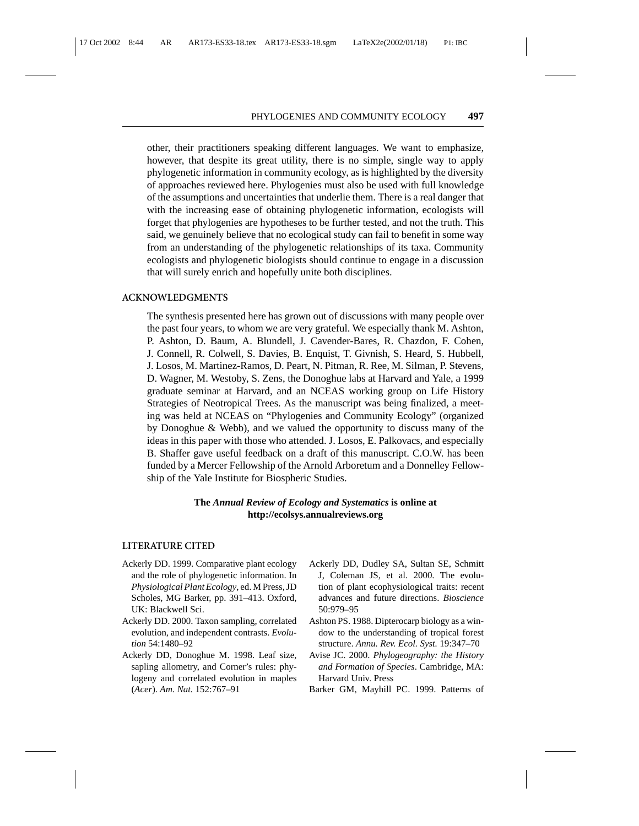other, their practitioners speaking different languages. We want to emphasize, however, that despite its great utility, there is no simple, single way to apply phylogenetic information in community ecology, as is highlighted by the diversity of approaches reviewed here. Phylogenies must also be used with full knowledge of the assumptions and uncertainties that underlie them. There is a real danger that with the increasing ease of obtaining phylogenetic information, ecologists will forget that phylogenies are hypotheses to be further tested, and not the truth. This said, we genuinely believe that no ecological study can fail to benefit in some way from an understanding of the phylogenetic relationships of its taxa. Community ecologists and phylogenetic biologists should continue to engage in a discussion that will surely enrich and hopefully unite both disciplines.

#### **ACKNOWLEDGMENTS**

The synthesis presented here has grown out of discussions with many people over the past four years, to whom we are very grateful. We especially thank M. Ashton, P. Ashton, D. Baum, A. Blundell, J. Cavender-Bares, R. Chazdon, F. Cohen, J. Connell, R. Colwell, S. Davies, B. Enquist, T. Givnish, S. Heard, S. Hubbell, J. Losos, M. Martinez-Ramos, D. Peart, N. Pitman, R. Ree, M. Silman, P. Stevens, D. Wagner, M. Westoby, S. Zens, the Donoghue labs at Harvard and Yale, a 1999 graduate seminar at Harvard, and an NCEAS working group on Life History Strategies of Neotropical Trees. As the manuscript was being finalized, a meeting was held at NCEAS on "Phylogenies and Community Ecology" (organized by Donoghue & Webb), and we valued the opportunity to discuss many of the ideas in this paper with those who attended. J. Losos, E. Palkovacs, and especially B. Shaffer gave useful feedback on a draft of this manuscript. C.O.W. has been funded by a Mercer Fellowship of the Arnold Arboretum and a Donnelley Fellowship of the Yale Institute for Biospheric Studies.

#### **The** *Annual Review of Ecology and Systematics* **is online at http://ecolsys.annualreviews.org**

#### **LITERATURE CITED**

- Ackerly DD. 1999. Comparative plant ecology and the role of phylogenetic information. In *Physiological Plant Ecology*, ed. M Press, JD Scholes, MG Barker, pp. 391–413. Oxford, UK: Blackwell Sci.
- Ackerly DD. 2000. Taxon sampling, correlated evolution, and independent contrasts. *Evolution* 54:1480–92
- Ackerly DD, Donoghue M. 1998. Leaf size, sapling allometry, and Corner's rules: phylogeny and correlated evolution in maples (*Acer*). *Am. Nat.* 152:767–91
- Ackerly DD, Dudley SA, Sultan SE, Schmitt J, Coleman JS, et al. 2000. The evolution of plant ecophysiological traits: recent advances and future directions. *Bioscience* 50:979–95
- Ashton PS. 1988. Dipterocarp biology as a window to the understanding of tropical forest structure. *Annu. Rev. Ecol. Syst.* 19:347–70
- Avise JC. 2000. *Phylogeography: the History and Formation of Species*. Cambridge, MA: Harvard Univ. Press
- Barker GM, Mayhill PC. 1999. Patterns of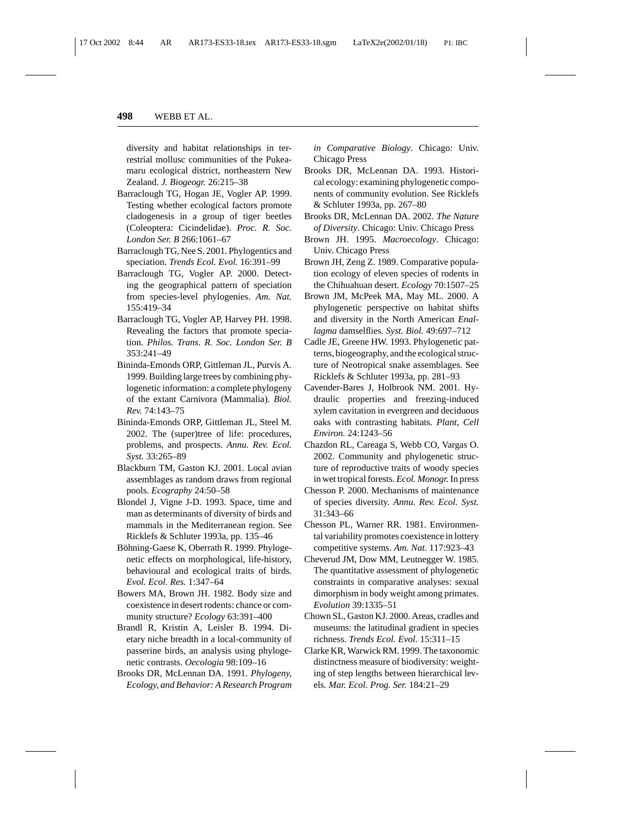diversity and habitat relationships in terrestrial mollusc communities of the Pukeamaru ecological district, northeastern New Zealand. *J. Biogeogr.* 26:215–38

- Barraclough TG, Hogan JE, Vogler AP. 1999. Testing whether ecological factors promote cladogenesis in a group of tiger beetles (Coleoptera: Cicindelidae). *Proc. R. Soc. London Ser. B* 266:1061–67
- Barraclough TG, Nee S. 2001. Phylogentics and speciation. *Trends Ecol. Evol.* 16:391–99
- Barraclough TG, Vogler AP. 2000. Detecting the geographical pattern of speciation from species-level phylogenies. *Am. Nat.* 155:419–34
- Barraclough TG, Vogler AP, Harvey PH. 1998. Revealing the factors that promote speciation. *Philos. Trans. R. Soc. London Ser. B* 353:241–49
- Bininda-Emonds ORP, Gittleman JL, Purvis A. 1999. Building large trees by combining phylogenetic information: a complete phylogeny of the extant Carnivora (Mammalia). *Biol. Rev.* 74:143–75
- Bininda-Emonds ORP, Gittleman JL, Steel M. 2002. The (super)tree of life: procedures, problems, and prospects. *Annu. Rev. Ecol. Syst.* 33:265–89
- Blackburn TM, Gaston KJ. 2001. Local avian assemblages as random draws from regional pools. *Ecography* 24:50–58
- Blondel J, Vigne J-D. 1993. Space, time and man as determinants of diversity of birds and mammals in the Mediterranean region. See Ricklefs & Schluter 1993a, pp. 135–46
- Böhning-Gaese K, Oberrath R. 1999. Phylogenetic effects on morphological, life-history, behavioural and ecological traits of birds. *Evol. Ecol. Res.* 1:347–64
- Bowers MA, Brown JH. 1982. Body size and coexistence in desert rodents: chance or community structure? *Ecology* 63:391–400
- Brandl R, Kristin A, Leisler B. 1994. Dietary niche breadth in a local-community of passerine birds, an analysis using phylogenetic contrasts. *Oecologia* 98:109–16
- Brooks DR, McLennan DA. 1991. *Phylogeny, Ecology, and Behavior: A Research Program*

*in Comparative Biology*. Chicago: Univ. Chicago Press

- Brooks DR, McLennan DA. 1993. Historical ecology: examining phylogenetic components of community evolution. See Ricklefs & Schluter 1993a, pp. 267–80
- Brooks DR, McLennan DA. 2002. *The Nature of Diversity*. Chicago: Univ. Chicago Press
- Brown JH. 1995. *Macroecology*. Chicago: Univ. Chicago Press
- Brown JH, Zeng Z. 1989. Comparative population ecology of eleven species of rodents in the Chihuahuan desert. *Ecology* 70:1507–25
- Brown JM, McPeek MA, May ML. 2000. A phylogenetic perspective on habitat shifts and diversity in the North American *Enallagma* damselflies. *Syst. Biol.* 49:697–712
- Cadle JE, Greene HW. 1993. Phylogenetic patterns, biogeography, and the ecological structure of Neotropical snake assemblages. See Ricklefs & Schluter 1993a, pp. 281–93
- Cavender-Bares J, Holbrook NM. 2001. Hydraulic properties and freezing-induced xylem cavitation in evergreen and deciduous oaks with contrasting habitats. *Plant, Cell Environ.* 24:1243–56
- Chazdon RL, Careaga S, Webb CO, Vargas O. 2002. Community and phylogenetic structure of reproductive traits of woody species in wet tropical forests. *Ecol. Monogr.*In press
- Chesson P. 2000. Mechanisms of maintenance of species diversity. *Annu. Rev. Ecol. Syst.* 31:343–66
- Chesson PL, Warner RR. 1981. Environmental variability promotes coexistence in lottery competitive systems. *Am. Nat.* 117:923–43
- Cheverud JM, Dow MM, Leutnegger W. 1985. The quantitative assessment of phylogenetic constraints in comparative analyses: sexual dimorphism in body weight among primates. *Evolution* 39:1335–51
- Chown SL, Gaston KJ. 2000. Areas, cradles and museums: the latitudinal gradient in species richness. *Trends Ecol. Evol.* 15:311–15
- Clarke KR, Warwick RM. 1999. The taxonomic distinctness measure of biodiversity: weighting of step lengths between hierarchical levels. *Mar. Ecol. Prog. Ser.* 184:21–29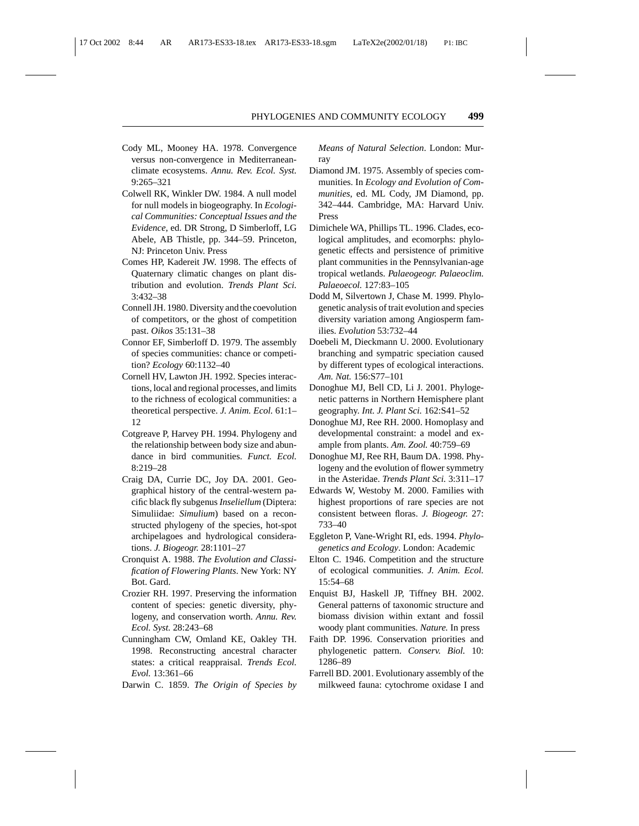- Cody ML, Mooney HA. 1978. Convergence versus non-convergence in Mediterraneanclimate ecosystems. *Annu. Rev. Ecol. Syst.* 9:265–321
- Colwell RK, Winkler DW. 1984. A null model for null models in biogeography. In *Ecological Communities: Conceptual Issues and the Evidence*, ed. DR Strong, D Simberloff, LG Abele, AB Thistle, pp. 344–59. Princeton, NJ: Princeton Univ. Press
- Comes HP, Kadereit JW. 1998. The effects of Quaternary climatic changes on plant distribution and evolution. *Trends Plant Sci.* 3:432–38
- Connell JH. 1980. Diversity and the coevolution of competitors, or the ghost of competition past. *Oikos* 35:131–38
- Connor EF, Simberloff D. 1979. The assembly of species communities: chance or competition? *Ecology* 60:1132–40
- Cornell HV, Lawton JH. 1992. Species interactions, local and regional processes, and limits to the richness of ecological communities: a theoretical perspective. *J. Anim. Ecol.* 61:1– 12
- Cotgreave P, Harvey PH. 1994. Phylogeny and the relationship between body size and abundance in bird communities. *Funct. Ecol.* 8:219–28
- Craig DA, Currie DC, Joy DA. 2001. Geographical history of the central-western pacific black fly subgenus*Inseliellum* (Diptera: Simuliidae: *Simulium*) based on a reconstructed phylogeny of the species, hot-spot archipelagoes and hydrological considerations. *J. Biogeogr.* 28:1101–27
- Cronquist A. 1988. *The Evolution and Classification of Flowering Plants*. New York: NY Bot. Gard.
- Crozier RH. 1997. Preserving the information content of species: genetic diversity, phylogeny, and conservation worth. *Annu. Rev. Ecol. Syst.* 28:243–68
- Cunningham CW, Omland KE, Oakley TH. 1998. Reconstructing ancestral character states: a critical reappraisal. *Trends Ecol. Evol.* 13:361–66
- Darwin C. 1859. *The Origin of Species by*

*Means of Natural Selection*. London: Murray

- Diamond JM. 1975. Assembly of species communities. In *Ecology and Evolution of Communities*, ed. ML Cody, JM Diamond, pp. 342–444. Cambridge, MA: Harvard Univ. Press
- Dimichele WA, Phillips TL. 1996. Clades, ecological amplitudes, and ecomorphs: phylogenetic effects and persistence of primitive plant communities in the Pennsylvanian-age tropical wetlands. *Palaeogeogr. Palaeoclim. Palaeoecol.* 127:83–105
- Dodd M, Silvertown J, Chase M. 1999. Phylogenetic analysis of trait evolution and species diversity variation among Angiosperm families. *Evolution* 53:732–44
- Doebeli M, Dieckmann U. 2000. Evolutionary branching and sympatric speciation caused by different types of ecological interactions. *Am. Nat.* 156:S77–101
- Donoghue MJ, Bell CD, Li J. 2001. Phylogenetic patterns in Northern Hemisphere plant geography. *Int. J. Plant Sci.* 162:S41–52
- Donoghue MJ, Ree RH. 2000. Homoplasy and developmental constraint: a model and example from plants. *Am. Zool.* 40:759–69
- Donoghue MJ, Ree RH, Baum DA. 1998. Phylogeny and the evolution of flower symmetry in the Asteridae. *Trends Plant Sci.* 3:311–17
- Edwards W, Westoby M. 2000. Families with highest proportions of rare species are not consistent between floras. *J. Biogeogr.* 27: 733–40
- Eggleton P, Vane-Wright RI, eds. 1994. *Phylogenetics and Ecology*. London: Academic
- Elton C. 1946. Competition and the structure of ecological communities. *J. Anim. Ecol.* 15:54–68
- Enquist BJ, Haskell JP, Tiffney BH. 2002. General patterns of taxonomic structure and biomass division within extant and fossil woody plant communities. *Nature.* In press
- Faith DP. 1996. Conservation priorities and phylogenetic pattern. *Conserv. Biol.* 10: 1286–89
- Farrell BD. 2001. Evolutionary assembly of the milkweed fauna: cytochrome oxidase I and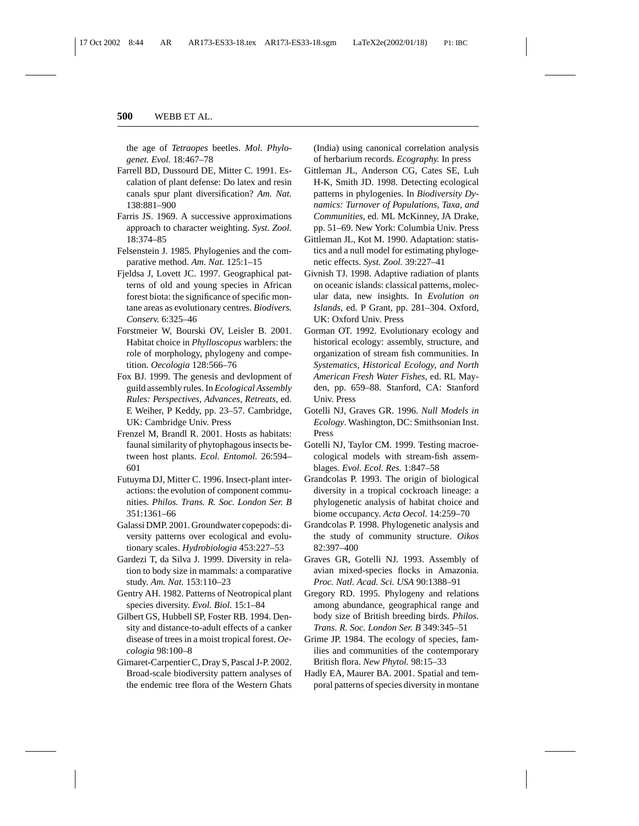the age of *Tetraopes* beetles. *Mol. Phylogenet. Evol.* 18:467–78

- Farrell BD, Dussourd DE, Mitter C. 1991. Escalation of plant defense: Do latex and resin canals spur plant diversification? *Am. Nat.* 138:881–900
- Farris JS. 1969. A successive approximations approach to character weighting. *Syst. Zool.* 18:374–85
- Felsenstein J. 1985. Phylogenies and the comparative method. *Am. Nat.* 125:1–15
- Fjeldsa J, Lovett JC. 1997. Geographical patterns of old and young species in African forest biota: the significance of specific montane areas as evolutionary centres. *Biodivers. Conserv.* 6:325–46
- Forstmeier W, Bourski OV, Leisler B. 2001. Habitat choice in *Phylloscopus* warblers: the role of morphology, phylogeny and competition. *Oecologia* 128:566–76
- Fox BJ. 1999. The genesis and devlopment of guild assembly rules. In *Ecological Assembly Rules: Perspectives, Advances, Retreats*, ed. E Weiher, P Keddy, pp. 23–57. Cambridge, UK: Cambridge Univ. Press
- Frenzel M, Brandl R. 2001. Hosts as habitats: faunal similarity of phytophagous insects between host plants. *Ecol. Entomol.* 26:594– 601
- Futuyma DJ, Mitter C. 1996. Insect-plant interactions: the evolution of component communities. *Philos. Trans. R. Soc. London Ser. B* 351:1361–66
- Galassi DMP. 2001. Groundwater copepods: diversity patterns over ecological and evolutionary scales. *Hydrobiologia* 453:227–53
- Gardezi T, da Silva J. 1999. Diversity in relation to body size in mammals: a comparative study. *Am. Nat.* 153:110–23
- Gentry AH. 1982. Patterns of Neotropical plant species diversity. *Evol. Biol.* 15:1–84
- Gilbert GS, Hubbell SP, Foster RB. 1994. Density and distance-to-adult effects of a canker disease of trees in a moist tropical forest. *Oecologia* 98:100–8
- Gimaret-Carpentier C, Dray S, Pascal J-P. 2002. Broad-scale biodiversity pattern analyses of the endemic tree flora of the Western Ghats

(India) using canonical correlation analysis of herbarium records. *Ecography.* In press

- Gittleman JL, Anderson CG, Cates SE, Luh H-K, Smith JD. 1998. Detecting ecological patterns in phylogenies. In *Biodiversity Dynamics: Turnover of Populations, Taxa, and Communities*, ed. ML McKinney, JA Drake, pp. 51–69. New York: Columbia Univ. Press
- Gittleman JL, Kot M. 1990. Adaptation: statistics and a null model for estimating phylogenetic effects. *Syst. Zool.* 39:227–41
- Givnish TJ. 1998. Adaptive radiation of plants on oceanic islands: classical patterns, molecular data, new insights. In *Evolution on Islands*, ed. P Grant, pp. 281–304. Oxford, UK: Oxford Univ. Press
- Gorman OT. 1992. Evolutionary ecology and historical ecology: assembly, structure, and organization of stream fish communities. In *Systematics, Historical Ecology, and North American Fresh Water Fishes*, ed. RL Mayden, pp. 659–88. Stanford, CA: Stanford Univ. Press
- Gotelli NJ, Graves GR. 1996. *Null Models in Ecology*. Washington, DC: Smithsonian Inst. Press
- Gotelli NJ, Taylor CM. 1999. Testing macroecological models with stream-fish assemblages. *Evol. Ecol. Res.* 1:847–58
- Grandcolas P. 1993. The origin of biological diversity in a tropical cockroach lineage: a phylogenetic analysis of habitat choice and biome occupancy. *Acta Oecol.* 14:259–70
- Grandcolas P. 1998. Phylogenetic analysis and the study of community structure. *Oikos* 82:397–400
- Graves GR, Gotelli NJ. 1993. Assembly of avian mixed-species flocks in Amazonia. *Proc. Natl. Acad. Sci. USA* 90:1388–91
- Gregory RD. 1995. Phylogeny and relations among abundance, geographical range and body size of British breeding birds. *Philos. Trans. R. Soc. London Ser. B* 349:345–51
- Grime JP. 1984. The ecology of species, families and communities of the contemporary British flora. *New Phytol.* 98:15–33
- Hadly EA, Maurer BA. 2001. Spatial and temporal patterns of species diversity in montane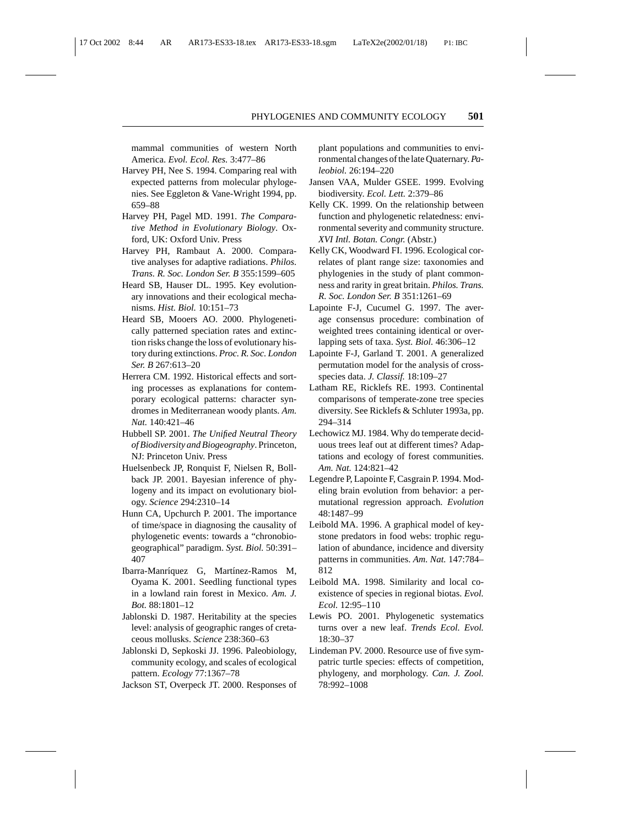mammal communities of western North America. *Evol. Ecol. Res.* 3:477–86

- Harvey PH, Nee S. 1994. Comparing real with expected patterns from molecular phylogenies. See Eggleton & Vane-Wright 1994, pp. 659–88
- Harvey PH, Pagel MD. 1991. *The Comparative Method in Evolutionary Biology*. Oxford, UK: Oxford Univ. Press
- Harvey PH, Rambaut A. 2000. Comparative analyses for adaptive radiations. *Philos. Trans. R. Soc. London Ser. B* 355:1599–605
- Heard SB, Hauser DL. 1995. Key evolutionary innovations and their ecological mechanisms. *Hist. Biol.* 10:151–73
- Heard SB, Mooers AO. 2000. Phylogenetically patterned speciation rates and extinction risks change the loss of evolutionary history during extinctions. *Proc. R. Soc. London Ser. B* 267:613–20
- Herrera CM. 1992. Historical effects and sorting processes as explanations for contemporary ecological patterns: character syndromes in Mediterranean woody plants. *Am. Nat.* 140:421–46
- Hubbell SP. 2001. *The Unified Neutral Theory of Biodiversity and Biogeography*. Princeton, NJ: Princeton Univ. Press
- Huelsenbeck JP, Ronquist F, Nielsen R, Bollback JP. 2001. Bayesian inference of phylogeny and its impact on evolutionary biology. *Science* 294:2310–14
- Hunn CA, Upchurch P. 2001. The importance of time/space in diagnosing the causality of phylogenetic events: towards a "chronobiogeographical" paradigm. *Syst. Biol.* 50:391– 407
- Ibarra-Manríquez G, Martínez-Ramos M, Oyama K. 2001. Seedling functional types in a lowland rain forest in Mexico. *Am. J. Bot.* 88:1801–12
- Jablonski D. 1987. Heritability at the species level: analysis of geographic ranges of cretaceous mollusks. *Science* 238:360–63
- Jablonski D, Sepkoski JJ. 1996. Paleobiology, community ecology, and scales of ecological pattern. *Ecology* 77:1367–78
- Jackson ST, Overpeck JT. 2000. Responses of

plant populations and communities to environmental changes of the late Quaternary.*Paleobiol.* 26:194–220

- Jansen VAA, Mulder GSEE. 1999. Evolving biodiversity. *Ecol. Lett.* 2:379–86
- Kelly CK. 1999. On the relationship between function and phylogenetic relatedness: environmental severity and community structure. *XVI Intl. Botan. Congr.* (Abstr.)
- Kelly CK, Woodward FI. 1996. Ecological correlates of plant range size: taxonomies and phylogenies in the study of plant commonness and rarity in great britain. *Philos. Trans. R. Soc. London Ser. B* 351:1261–69
- Lapointe F-J, Cucumel G. 1997. The average consensus procedure: combination of weighted trees containing identical or overlapping sets of taxa. *Syst. Biol.* 46:306–12
- Lapointe F-J, Garland T. 2001. A generalized permutation model for the analysis of crossspecies data. *J. Classif.* 18:109–27
- Latham RE, Ricklefs RE. 1993. Continental comparisons of temperate-zone tree species diversity. See Ricklefs & Schluter 1993a, pp. 294–314
- Lechowicz MJ. 1984. Why do temperate deciduous trees leaf out at different times? Adaptations and ecology of forest communities. *Am. Nat.* 124:821–42
- Legendre P, Lapointe F, Casgrain P. 1994. Modeling brain evolution from behavior: a permutational regression approach. *Evolution* 48:1487–99
- Leibold MA. 1996. A graphical model of keystone predators in food webs: trophic regulation of abundance, incidence and diversity patterns in communities. *Am. Nat.* 147:784– 812
- Leibold MA. 1998. Similarity and local coexistence of species in regional biotas. *Evol. Ecol.* 12:95–110
- Lewis PO. 2001. Phylogenetic systematics turns over a new leaf. *Trends Ecol. Evol.* 18:30–37
- Lindeman PV. 2000. Resource use of five sympatric turtle species: effects of competition, phylogeny, and morphology. *Can. J. Zool.* 78:992–1008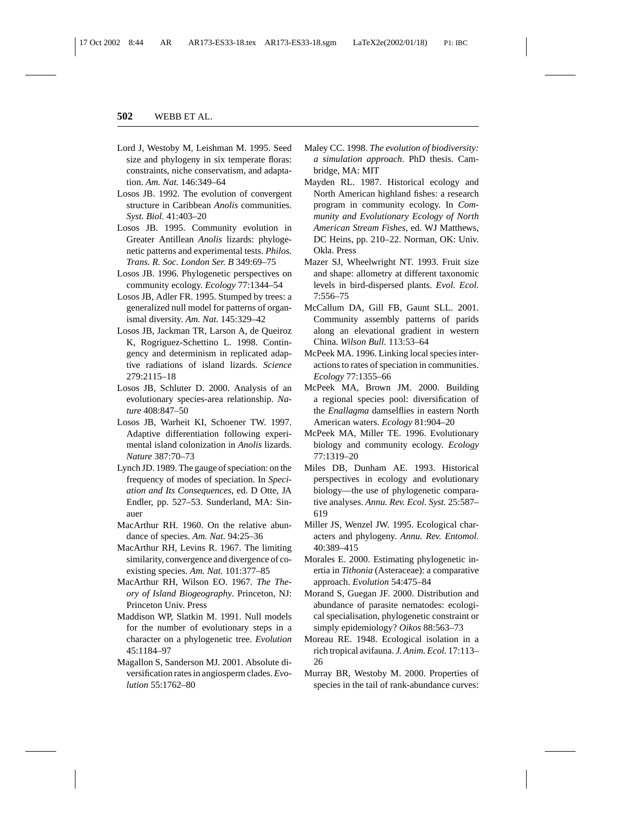- Lord J, Westoby M, Leishman M. 1995. Seed size and phylogeny in six temperate floras: constraints, niche conservatism, and adaptation. *Am. Nat.* 146:349–64
- Losos JB. 1992. The evolution of convergent structure in Caribbean *Anolis* communities. *Syst. Biol.* 41:403–20
- Losos JB. 1995. Community evolution in Greater Antillean *Anolis* lizards: phylogenetic patterns and experimental tests. *Philos. Trans. R. Soc. London Ser. B* 349:69–75
- Losos JB. 1996. Phylogenetic perspectives on community ecology. *Ecology* 77:1344–54
- Losos JB, Adler FR. 1995. Stumped by trees: a generalized null model for patterns of organismal diversity. *Am. Nat.* 145:329–42
- Losos JB, Jackman TR, Larson A, de Queiroz K, Rogriguez-Schettino L. 1998. Contingency and determinism in replicated adaptive radiations of island lizards. *Science* 279:2115–18
- Losos JB, Schluter D. 2000. Analysis of an evolutionary species-area relationship. *Nature* 408:847–50
- Losos JB, Warheit KI, Schoener TW. 1997. Adaptive differentiation following experimental island colonization in *Anolis* lizards. *Nature* 387:70–73
- Lynch JD. 1989. The gauge of speciation: on the frequency of modes of speciation. In *Speciation and Its Consequences*, ed. D Otte, JA Endler, pp. 527–53. Sunderland, MA: Sinauer
- MacArthur RH. 1960. On the relative abundance of species. *Am. Nat.* 94:25–36
- MacArthur RH, Levins R. 1967. The limiting similarity, convergence and divergence of coexisting species. *Am. Nat.* 101:377–85
- MacArthur RH, Wilson EO. 1967. *The Theory of Island Biogeography*. Princeton, NJ: Princeton Univ. Press
- Maddison WP, Slatkin M. 1991. Null models for the number of evolutionary steps in a character on a phylogenetic tree. *Evolution* 45:1184–97
- Magallon S, Sanderson MJ. 2001. Absolute diversification rates in angiosperm clades.*Evolution* 55:1762–80
- Maley CC. 1998. *The evolution of biodiversity: a simulation approach*. PhD thesis. Cambridge, MA: MIT
- Mayden RL. 1987. Historical ecology and North American highland fishes: a research program in community ecology. In *Community and Evolutionary Ecology of North American Stream Fishes*, ed. WJ Matthews, DC Heins, pp. 210–22. Norman, OK: Univ. Okla. Press
- Mazer SJ, Wheelwright NT. 1993. Fruit size and shape: allometry at different taxonomic levels in bird-dispersed plants. *Evol. Ecol.* 7:556–75
- McCallum DA, Gill FB, Gaunt SLL. 2001. Community assembly patterns of parids along an elevational gradient in western China. *Wilson Bull.* 113:53–64
- McPeek MA. 1996. Linking local species interactions to rates of speciation in communities. *Ecology* 77:1355–66
- McPeek MA, Brown JM. 2000. Building a regional species pool: diversification of the *Enallagma* damselflies in eastern North American waters. *Ecology* 81:904–20
- McPeek MA, Miller TE. 1996. Evolutionary biology and community ecology. *Ecology* 77:1319–20
- Miles DB, Dunham AE. 1993. Historical perspectives in ecology and evolutionary biology—the use of phylogenetic comparative analyses. *Annu. Rev. Ecol. Syst.* 25:587– 619
- Miller JS, Wenzel JW. 1995. Ecological characters and phylogeny. *Annu. Rev. Entomol.* 40:389–415
- Morales E. 2000. Estimating phylogenetic inertia in *Tithonia* (Asteraceae): a comparative approach. *Evolution* 54:475–84
- Morand S, Guegan JF. 2000. Distribution and abundance of parasite nematodes: ecological specialisation, phylogenetic constraint or simply epidemiology? *Oikos* 88:563–73
- Moreau RE. 1948. Ecological isolation in a rich tropical avifauna. *J. Anim. Ecol.* 17:113– 26
- Murray BR, Westoby M. 2000. Properties of species in the tail of rank-abundance curves: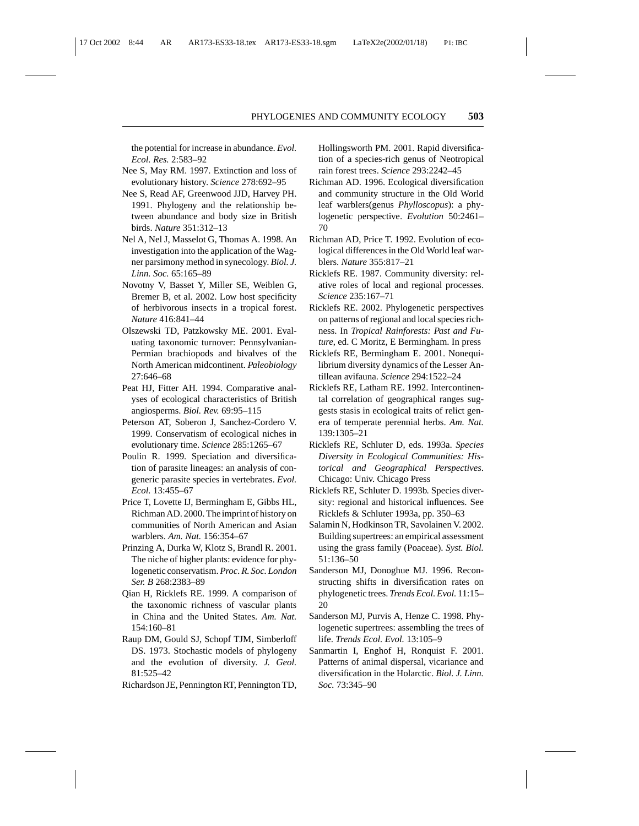the potential for increase in abundance. *Evol. Ecol. Res.* 2:583–92

- Nee S, May RM. 1997. Extinction and loss of evolutionary history. *Science* 278:692–95
- Nee S, Read AF, Greenwood JJD, Harvey PH. 1991. Phylogeny and the relationship between abundance and body size in British birds. *Nature* 351:312–13
- Nel A, Nel J, Masselot G, Thomas A. 1998. An investigation into the application of the Wagner parsimony method in synecology. *Biol. J. Linn. Soc.* 65:165–89
- Novotny V, Basset Y, Miller SE, Weiblen G, Bremer B, et al. 2002. Low host specificity of herbivorous insects in a tropical forest. *Nature* 416:841–44
- Olszewski TD, Patzkowsky ME. 2001. Evaluating taxonomic turnover: Pennsylvanian-Permian brachiopods and bivalves of the North American midcontinent. *Paleobiology* 27:646–68
- Peat HJ, Fitter AH. 1994. Comparative analyses of ecological characteristics of British angiosperms. *Biol. Rev.* 69:95–115
- Peterson AT, Soberon J, Sanchez-Cordero V. 1999. Conservatism of ecological niches in evolutionary time. *Science* 285:1265–67
- Poulin R. 1999. Speciation and diversification of parasite lineages: an analysis of congeneric parasite species in vertebrates. *Evol. Ecol.* 13:455–67
- Price T, Lovette IJ, Bermingham E, Gibbs HL, Richman AD. 2000. The imprint of history on communities of North American and Asian warblers. *Am. Nat.* 156:354–67
- Prinzing A, Durka W, Klotz S, Brandl R. 2001. The niche of higher plants: evidence for phylogenetic conservatism.*Proc. R. Soc. London Ser. B* 268:2383–89
- Qian H, Ricklefs RE. 1999. A comparison of the taxonomic richness of vascular plants in China and the United States. *Am. Nat.* 154:160–81
- Raup DM, Gould SJ, Schopf TJM, Simberloff DS. 1973. Stochastic models of phylogeny and the evolution of diversity. *J. Geol.* 81:525–42
- Richardson JE, Pennington RT, Pennington TD,

Hollingsworth PM. 2001. Rapid diversification of a species-rich genus of Neotropical rain forest trees. *Science* 293:2242–45

- Richman AD. 1996. Ecological diversification and community structure in the Old World leaf warblers(genus *Phylloscopus*): a phylogenetic perspective. *Evolution* 50:2461– 70
- Richman AD, Price T. 1992. Evolution of ecological differences in the Old World leaf warblers. *Nature* 355:817–21
- Ricklefs RE. 1987. Community diversity: relative roles of local and regional processes. *Science* 235:167–71
- Ricklefs RE. 2002. Phylogenetic perspectives on patterns of regional and local species richness. In *Tropical Rainforests: Past and Future*, ed. C Moritz, E Bermingham. In press
- Ricklefs RE, Bermingham E. 2001. Nonequilibrium diversity dynamics of the Lesser Antillean avifauna. *Science* 294:1522–24
- Ricklefs RE, Latham RE. 1992. Intercontinental correlation of geographical ranges suggests stasis in ecological traits of relict genera of temperate perennial herbs. *Am. Nat.* 139:1305–21
- Ricklefs RE, Schluter D, eds. 1993a. *Species Diversity in Ecological Communities: Historical and Geographical Perspectives*. Chicago: Univ. Chicago Press
- Ricklefs RE, Schluter D. 1993b. Species diversity: regional and historical influences. See Ricklefs & Schluter 1993a, pp. 350–63
- Salamin N, Hodkinson TR, Savolainen V. 2002. Building supertrees: an empirical assessment using the grass family (Poaceae). *Syst. Biol.* 51:136–50
- Sanderson MJ, Donoghue MJ. 1996. Reconstructing shifts in diversification rates on phylogenetic trees. *Trends Ecol. Evol.* 11:15– 20
- Sanderson MJ, Purvis A, Henze C. 1998. Phylogenetic supertrees: assembling the trees of life. *Trends Ecol. Evol.* 13:105–9
- Sanmartin I, Enghof H, Ronquist F. 2001. Patterns of animal dispersal, vicariance and diversification in the Holarctic. *Biol. J. Linn. Soc.* 73:345–90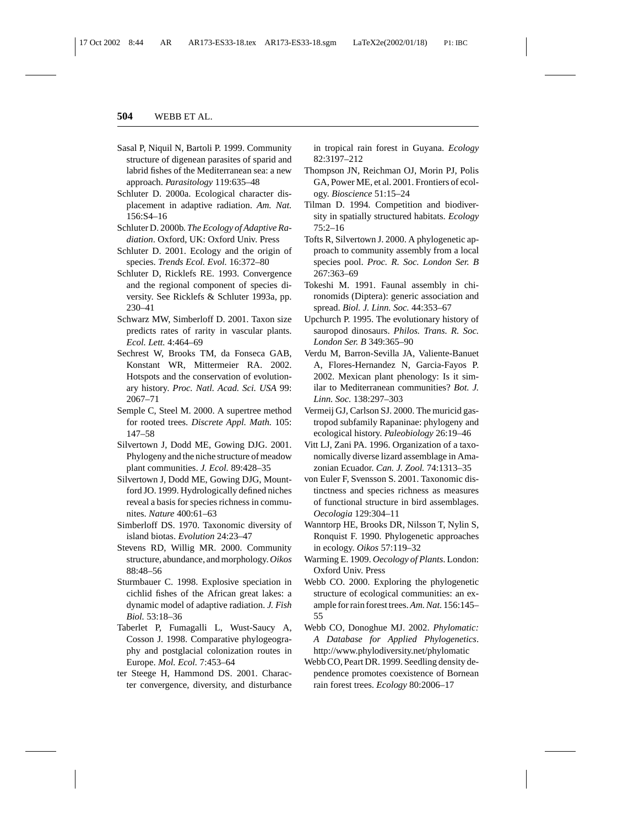- Sasal P, Niquil N, Bartoli P. 1999. Community structure of digenean parasites of sparid and labrid fishes of the Mediterranean sea: a new approach. *Parasitology* 119:635–48
- Schluter D. 2000a. Ecological character displacement in adaptive radiation. *Am. Nat.* 156:S4–16
- Schluter D. 2000b. *The Ecology of Adaptive Radiation*. Oxford, UK: Oxford Univ. Press
- Schluter D. 2001. Ecology and the origin of species. *Trends Ecol. Evol.* 16:372–80
- Schluter D, Ricklefs RE. 1993. Convergence and the regional component of species diversity. See Ricklefs & Schluter 1993a, pp. 230–41
- Schwarz MW, Simberloff D. 2001. Taxon size predicts rates of rarity in vascular plants. *Ecol. Lett.* 4:464–69
- Sechrest W, Brooks TM, da Fonseca GAB, Konstant WR, Mittermeier RA. 2002. Hotspots and the conservation of evolutionary history. *Proc. Natl. Acad. Sci. USA* 99: 2067–71
- Semple C, Steel M. 2000. A supertree method for rooted trees. *Discrete Appl. Math.* 105: 147–58
- Silvertown J, Dodd ME, Gowing DJG. 2001. Phylogeny and the niche structure of meadow plant communities. *J. Ecol.* 89:428–35
- Silvertown J, Dodd ME, Gowing DJG, Mountford JO. 1999. Hydrologically defined niches reveal a basis for species richness in communites. *Nature* 400:61–63
- Simberloff DS. 1970. Taxonomic diversity of island biotas. *Evolution* 24:23–47
- Stevens RD, Willig MR. 2000. Community structure, abundance, and morphology.*Oikos* 88:48–56
- Sturmbauer C. 1998. Explosive speciation in cichlid fishes of the African great lakes: a dynamic model of adaptive radiation. *J. Fish Biol.* 53:18–36
- Taberlet P, Fumagalli L, Wust-Saucy A, Cosson J. 1998. Comparative phylogeography and postglacial colonization routes in Europe. *Mol. Ecol.* 7:453–64
- ter Steege H, Hammond DS. 2001. Character convergence, diversity, and disturbance

in tropical rain forest in Guyana. *Ecology* 82:3197–212

- Thompson JN, Reichman OJ, Morin PJ, Polis GA, Power ME, et al. 2001. Frontiers of ecology. *Bioscience* 51:15–24
- Tilman D. 1994. Competition and biodiversity in spatially structured habitats. *Ecology* 75:2–16
- Tofts R, Silvertown J. 2000. A phylogenetic approach to community assembly from a local species pool. *Proc. R. Soc. London Ser. B* 267:363–69
- Tokeshi M. 1991. Faunal assembly in chironomids (Diptera): generic association and spread. *Biol. J. Linn. Soc.* 44:353–67
- Upchurch P. 1995. The evolutionary history of sauropod dinosaurs. *Philos. Trans. R. Soc. London Ser. B* 349:365–90
- Verdu M, Barron-Sevilla JA, Valiente-Banuet A, Flores-Hernandez N, Garcia-Fayos P. 2002. Mexican plant phenology: Is it similar to Mediterranean communities? *Bot. J. Linn. Soc.* 138:297–303
- Vermeij GJ, Carlson SJ. 2000. The muricid gastropod subfamily Rapaninae: phylogeny and ecological history. *Paleobiology* 26:19–46
- Vitt LJ, Zani PA. 1996. Organization of a taxonomically diverse lizard assemblage in Amazonian Ecuador. *Can. J. Zool.* 74:1313–35
- von Euler F, Svensson S. 2001. Taxonomic distinctness and species richness as measures of functional structure in bird assemblages. *Oecologia* 129:304–11
- Wanntorp HE, Brooks DR, Nilsson T, Nylin S, Ronquist F. 1990. Phylogenetic approaches in ecology. *Oikos* 57:119–32
- Warming E. 1909. *Oecology of Plants*. London: Oxford Univ. Press
- Webb CO. 2000. Exploring the phylogenetic structure of ecological communities: an example for rain forest trees.*Am. Nat.* 156:145– 55
- Webb CO, Donoghue MJ. 2002. *Phylomatic: A Database for Applied Phylogenetics*. http://www.phylodiversity.net/phylomatic
- Webb CO, Peart DR. 1999. Seedling density dependence promotes coexistence of Bornean rain forest trees. *Ecology* 80:2006–17